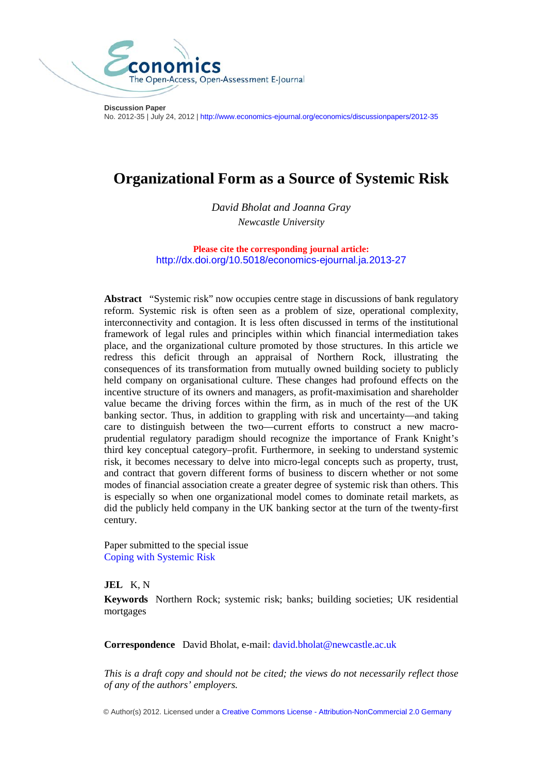

**Discussion Paper** No. 2012-35 | July 24, 2012 | <http://www.economics-ejournal.org/economics/discussionpapers/2012-35>

# **Organizational Form as a Source of Systemic Risk**

*David Bholat and Joanna Gray Newcastle University*

**Please cite the corresponding journal article:** <http://dx.doi.org/10.5018/economics-ejournal.ja.2013-27>

**Abstract** "Systemic risk" now occupies centre stage in discussions of bank regulatory reform. Systemic risk is often seen as a problem of size, operational complexity, interconnectivity and contagion. It is less often discussed in terms of the institutional framework of legal rules and principles within which financial intermediation takes place, and the organizational culture promoted by those structures. In this article we redress this deficit through an appraisal of Northern Rock, illustrating the consequences of its transformation from mutually owned building society to publicly held company on organisational culture. These changes had profound effects on the incentive structure of its owners and managers, as profit-maximisation and shareholder value became the driving forces within the firm, as in much of the rest of the UK banking sector. Thus, in addition to grappling with risk and uncertainty—and taking care to distinguish between the two—current efforts to construct a new macroprudential regulatory paradigm should recognize the importance of Frank Knight's third key conceptual category–profit. Furthermore, in seeking to understand systemic risk, it becomes necessary to delve into micro-legal concepts such as property, trust, and contract that govern different forms of business to discern whether or not some modes of financial association create a greater degree of systemic risk than others. This is especially so when one organizational model comes to dominate retail markets, as did the publicly held company in the UK banking sector at the turn of the twenty-first century.

Paper submitted to the special issue Coping with Systemic Risk

#### **JEL** K, N

**Keywords** Northern Rock; systemic risk; banks; building societies; UK residential mortgages

**Correspondence** David Bholat, e-mail: [david.bholat@newcastle.ac.uk](mailto:david.bholat@newcastle.ac.uk)

*This is a draft copy and should not be cited; the views do not necessarily reflect those of any of the authors' employers.*

© Author(s) 2012. Licensed under a Creative Commons License - [Attribution-NonCommercial 2.0 Germany](http://creativecommons.org/licenses/by-nc/2.0/de/deed.en)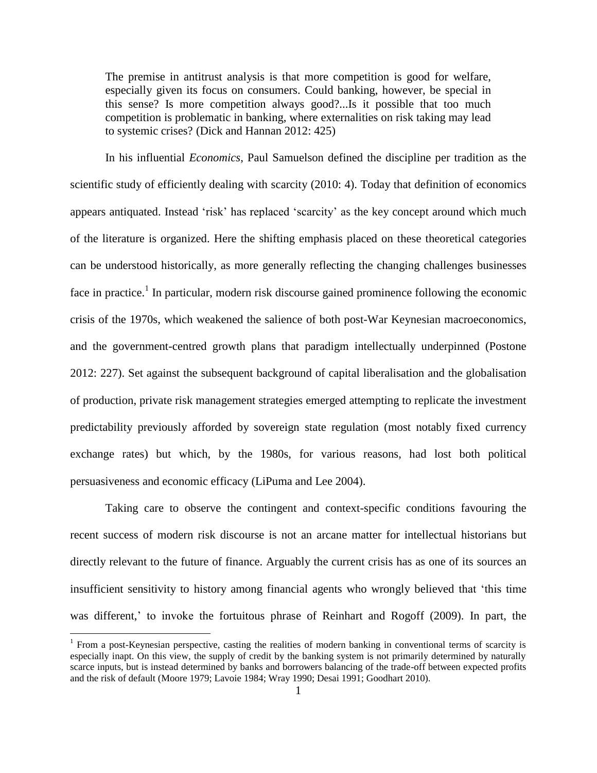The premise in antitrust analysis is that more competition is good for welfare, especially given its focus on consumers. Could banking, however, be special in this sense? Is more competition always good?...Is it possible that too much competition is problematic in banking, where externalities on risk taking may lead to systemic crises? (Dick and Hannan 2012: 425)

In his influential *Economics*, Paul Samuelson defined the discipline per tradition as the scientific study of efficiently dealing with scarcity (2010: 4). Today that definition of economics appears antiquated. Instead 'risk' has replaced 'scarcity' as the key concept around which much of the literature is organized. Here the shifting emphasis placed on these theoretical categories can be understood historically, as more generally reflecting the changing challenges businesses face in practice.<sup>1</sup> In particular, modern risk discourse gained prominence following the economic crisis of the 1970s, which weakened the salience of both post-War Keynesian macroeconomics, and the government-centred growth plans that paradigm intellectually underpinned (Postone 2012: 227). Set against the subsequent background of capital liberalisation and the globalisation of production, private risk management strategies emerged attempting to replicate the investment predictability previously afforded by sovereign state regulation (most notably fixed currency exchange rates) but which, by the 1980s, for various reasons, had lost both political persuasiveness and economic efficacy (LiPuma and Lee 2004).

Taking care to observe the contingent and context-specific conditions favouring the recent success of modern risk discourse is not an arcane matter for intellectual historians but directly relevant to the future of finance. Arguably the current crisis has as one of its sources an insufficient sensitivity to history among financial agents who wrongly believed that 'this time was different,' to invoke the fortuitous phrase of Reinhart and Rogoff (2009). In part, the

<sup>&</sup>lt;sup>1</sup> From a post-Keynesian perspective, casting the realities of modern banking in conventional terms of scarcity is especially inapt. On this view, the supply of credit by the banking system is not primarily determined by naturally scarce inputs, but is instead determined by banks and borrowers balancing of the trade-off between expected profits and the risk of default (Moore 1979; Lavoie 1984; Wray 1990; Desai 1991; Goodhart 2010).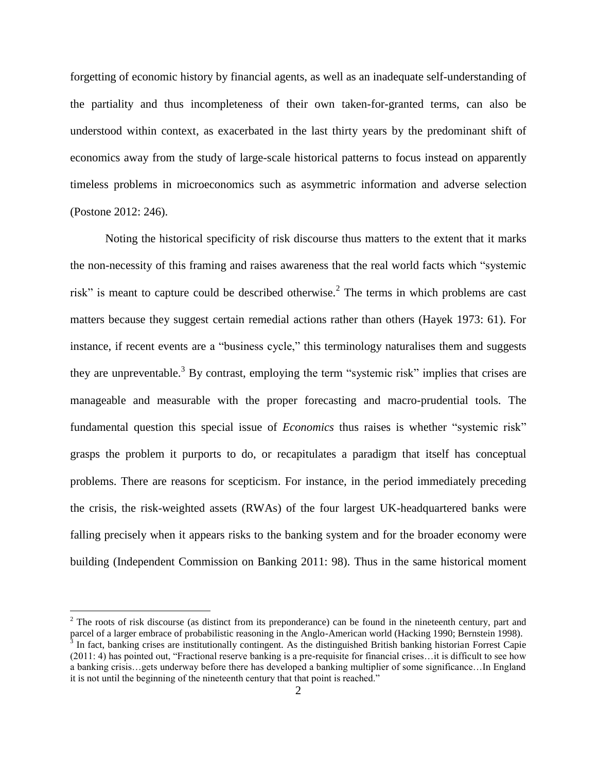forgetting of economic history by financial agents, as well as an inadequate self-understanding of the partiality and thus incompleteness of their own taken-for-granted terms, can also be understood within context, as exacerbated in the last thirty years by the predominant shift of economics away from the study of large-scale historical patterns to focus instead on apparently timeless problems in microeconomics such as asymmetric information and adverse selection (Postone 2012: 246).

Noting the historical specificity of risk discourse thus matters to the extent that it marks the non-necessity of this framing and raises awareness that the real world facts which "systemic risk" is meant to capture could be described otherwise.<sup>2</sup> The terms in which problems are cast matters because they suggest certain remedial actions rather than others (Hayek 1973: 61). For instance, if recent events are a "business cycle," this terminology naturalises them and suggests they are unpreventable.<sup>3</sup> By contrast, employing the term "systemic risk" implies that crises are manageable and measurable with the proper forecasting and macro-prudential tools. The fundamental question this special issue of *Economics* thus raises is whether "systemic risk" grasps the problem it purports to do, or recapitulates a paradigm that itself has conceptual problems. There are reasons for scepticism. For instance, in the period immediately preceding the crisis, the risk-weighted assets (RWAs) of the four largest UK-headquartered banks were falling precisely when it appears risks to the banking system and for the broader economy were building (Independent Commission on Banking 2011: 98). Thus in the same historical moment

 $2$  The roots of risk discourse (as distinct from its preponderance) can be found in the nineteenth century, part and parcel of a larger embrace of probabilistic reasoning in the Anglo-American world (Hacking 1990; Bernstein 1998).<br><sup>3</sup> In fact, banking crises are institutionally contingent. As the distinguished British banking historian F (2011: 4) has pointed out, "Fractional reserve banking is a pre-requisite for financial crises…it is difficult to see how

a banking crisis…gets underway before there has developed a banking multiplier of some significance…In England it is not until the beginning of the nineteenth century that that point is reached."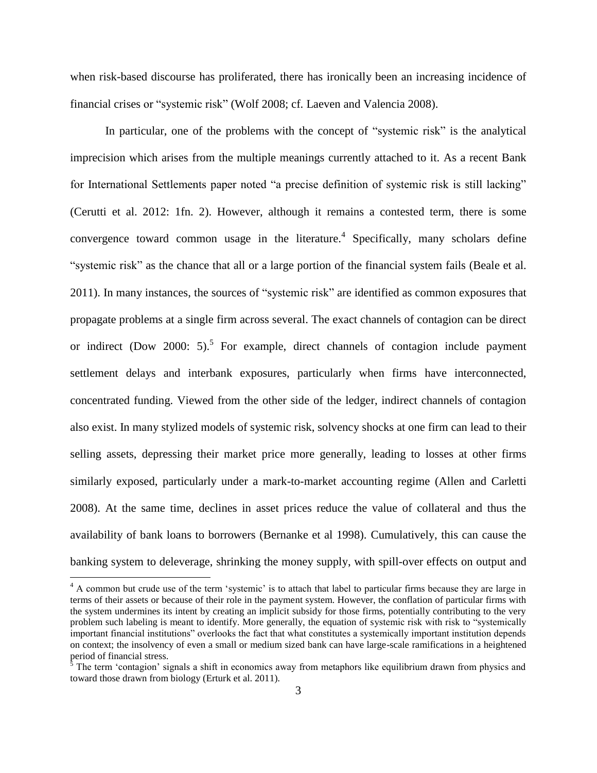when risk-based discourse has proliferated, there has ironically been an increasing incidence of financial crises or "systemic risk" (Wolf 2008; cf. Laeven and Valencia 2008).

In particular, one of the problems with the concept of "systemic risk" is the analytical imprecision which arises from the multiple meanings currently attached to it. As a recent Bank for International Settlements paper noted "a precise definition of systemic risk is still lacking" (Cerutti et al. 2012: 1fn. 2). However, although it remains a contested term, there is some convergence toward common usage in the literature. 4 Specifically, many scholars define "systemic risk" as the chance that all or a large portion of the financial system fails (Beale et al. 2011). In many instances, the sources of "systemic risk" are identified as common exposures that propagate problems at a single firm across several. The exact channels of contagion can be direct or indirect (Dow 2000: 5).<sup>5</sup> For example, direct channels of contagion include payment settlement delays and interbank exposures, particularly when firms have interconnected, concentrated funding. Viewed from the other side of the ledger, indirect channels of contagion also exist. In many stylized models of systemic risk, solvency shocks at one firm can lead to their selling assets, depressing their market price more generally, leading to losses at other firms similarly exposed, particularly under a mark-to-market accounting regime (Allen and Carletti 2008). At the same time, declines in asset prices reduce the value of collateral and thus the availability of bank loans to borrowers (Bernanke et al 1998). Cumulatively, this can cause the banking system to deleverage, shrinking the money supply, with spill-over effects on output and

<sup>&</sup>lt;sup>4</sup> A common but crude use of the term 'systemic' is to attach that label to particular firms because they are large in terms of their assets or because of their role in the payment system. However, the conflation of particular firms with the system undermines its intent by creating an implicit subsidy for those firms, potentially contributing to the very problem such labeling is meant to identify. More generally, the equation of systemic risk with risk to "systemically important financial institutions" overlooks the fact that what constitutes a systemically important institution depends on context; the insolvency of even a small or medium sized bank can have large-scale ramifications in a heightened period of financial stress.

 $\delta$  The term 'contagion' signals a shift in economics away from metaphors like equilibrium drawn from physics and toward those drawn from biology (Erturk et al. 2011).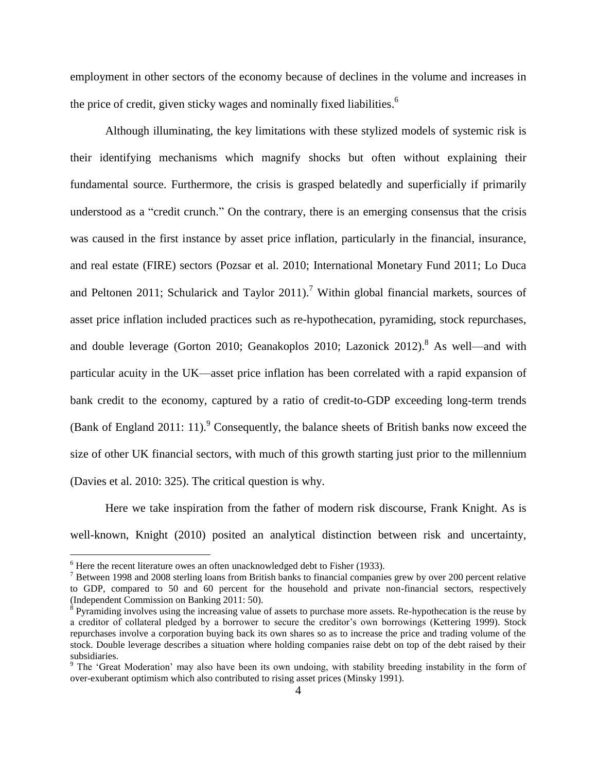employment in other sectors of the economy because of declines in the volume and increases in the price of credit, given sticky wages and nominally fixed liabilities.<sup>6</sup>

Although illuminating, the key limitations with these stylized models of systemic risk is their identifying mechanisms which magnify shocks but often without explaining their fundamental source. Furthermore, the crisis is grasped belatedly and superficially if primarily understood as a "credit crunch." On the contrary, there is an emerging consensus that the crisis was caused in the first instance by asset price inflation, particularly in the financial, insurance, and real estate (FIRE) sectors (Pozsar et al. 2010; International Monetary Fund 2011; Lo Duca and Peltonen 2011; Schularick and Taylor 2011).<sup>7</sup> Within global financial markets, sources of asset price inflation included practices such as re-hypothecation, pyramiding, stock repurchases, and double leverage (Gorton 2010; Geanakoplos 2010; Lazonick  $2012$ ).<sup>8</sup> As well—and with particular acuity in the UK—asset price inflation has been correlated with a rapid expansion of bank credit to the economy, captured by a ratio of credit-to-GDP exceeding long-term trends (Bank of England 2011: 11).<sup>9</sup> Consequently, the balance sheets of British banks now exceed the size of other UK financial sectors, with much of this growth starting just prior to the millennium (Davies et al. 2010: 325). The critical question is why.

Here we take inspiration from the father of modern risk discourse, Frank Knight. As is well-known, Knight (2010) posited an analytical distinction between risk and uncertainty,

 $6$  Here the recent literature owes an often unacknowledged debt to Fisher (1933).

<sup>&</sup>lt;sup>7</sup> Between 1998 and 2008 sterling loans from British banks to financial companies grew by over 200 percent relative to GDP, compared to 50 and 60 percent for the household and private non-financial sectors, respectively (Independent Commission on Banking 2011: 50).

 $8$  Pyramiding involves using the increasing value of assets to purchase more assets. Re-hypothecation is the reuse by a creditor of collateral pledged by a borrower to secure the creditor's own borrowings (Kettering 1999). Stock repurchases involve a corporation buying back its own shares so as to increase the price and trading volume of the stock. Double leverage describes a situation where holding companies raise debt on top of the debt raised by their subsidiaries.

<sup>&</sup>lt;sup>9</sup> The 'Great Moderation' may also have been its own undoing, with stability breeding instability in the form of over-exuberant optimism which also contributed to rising asset prices (Minsky 1991).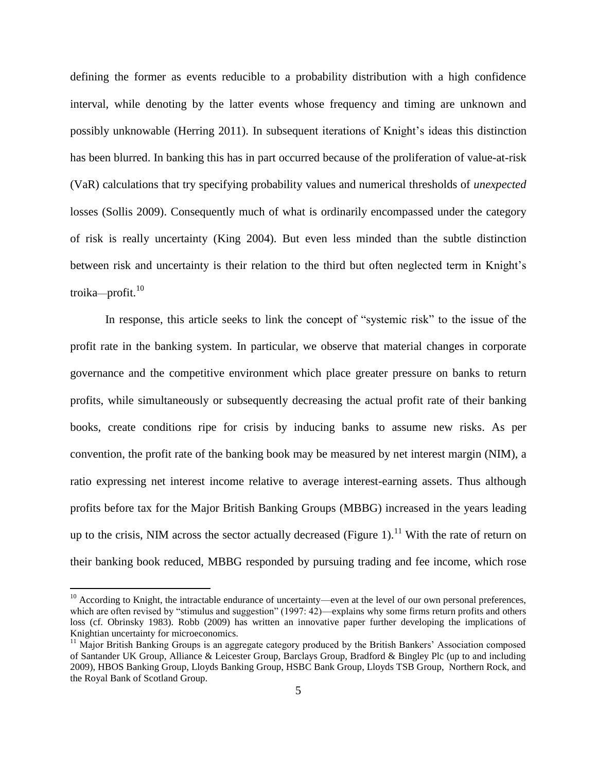defining the former as events reducible to a probability distribution with a high confidence interval, while denoting by the latter events whose frequency and timing are unknown and possibly unknowable (Herring 2011). In subsequent iterations of Knight's ideas this distinction has been blurred. In banking this has in part occurred because of the proliferation of value-at-risk (VaR) calculations that try specifying probability values and numerical thresholds of *unexpected* losses (Sollis 2009). Consequently much of what is ordinarily encompassed under the category of risk is really uncertainty (King 2004). But even less minded than the subtle distinction between risk and uncertainty is their relation to the third but often neglected term in Knight's troika—profit. $10$ 

In response, this article seeks to link the concept of "systemic risk" to the issue of the profit rate in the banking system. In particular, we observe that material changes in corporate governance and the competitive environment which place greater pressure on banks to return profits, while simultaneously or subsequently decreasing the actual profit rate of their banking books, create conditions ripe for crisis by inducing banks to assume new risks. As per convention, the profit rate of the banking book may be measured by net interest margin (NIM), a ratio expressing net interest income relative to average interest-earning assets. Thus although profits before tax for the Major British Banking Groups (MBBG) increased in the years leading up to the crisis, NIM across the sector actually decreased (Figure 1).<sup>11</sup> With the rate of return on their banking book reduced, MBBG responded by pursuing trading and fee income, which rose

 $10$  According to Knight, the intractable endurance of uncertainty—even at the level of our own personal preferences, which are often revised by "stimulus and suggestion" (1997: 42)—explains why some firms return profits and others loss (cf. Obrinsky 1983). Robb (2009) has written an innovative paper further developing the implications of Knightian uncertainty for microeconomics.

<sup>&</sup>lt;sup>11</sup> Major British Banking Groups is an aggregate category produced by the British Bankers' Association composed of Santander UK Group, Alliance & Leicester Group, Barclays Group, Bradford & Bingley Plc (up to and including 2009), HBOS Banking Group, Lloyds Banking Group, HSBC Bank Group, Lloyds TSB Group, Northern Rock, and the Royal Bank of Scotland Group.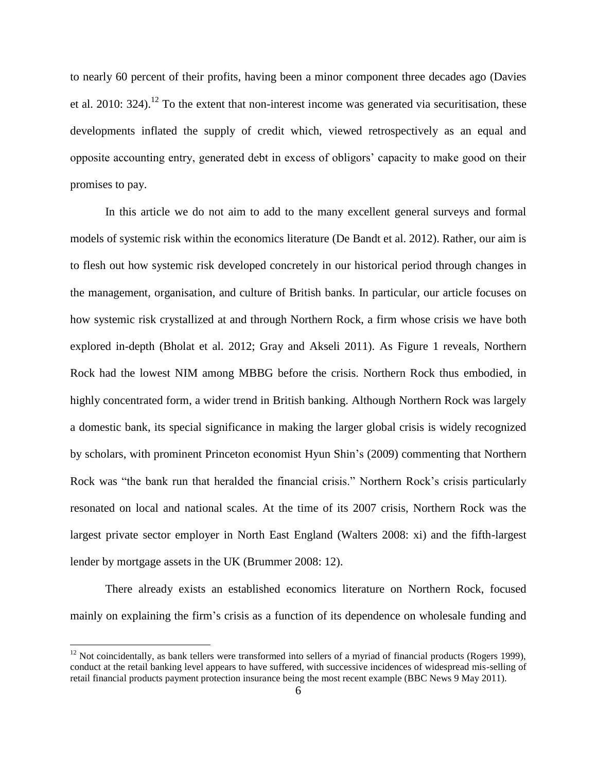to nearly 60 percent of their profits, having been a minor component three decades ago (Davies et al. 2010:  $324$ ).<sup>12</sup> To the extent that non-interest income was generated via securitisation, these developments inflated the supply of credit which, viewed retrospectively as an equal and opposite accounting entry, generated debt in excess of obligors' capacity to make good on their promises to pay.

In this article we do not aim to add to the many excellent general surveys and formal models of systemic risk within the economics literature (De Bandt et al. 2012). Rather, our aim is to flesh out how systemic risk developed concretely in our historical period through changes in the management, organisation, and culture of British banks. In particular, our article focuses on how systemic risk crystallized at and through Northern Rock, a firm whose crisis we have both explored in-depth (Bholat et al. 2012; Gray and Akseli 2011). As Figure 1 reveals, Northern Rock had the lowest NIM among MBBG before the crisis. Northern Rock thus embodied, in highly concentrated form, a wider trend in British banking. Although Northern Rock was largely a domestic bank, its special significance in making the larger global crisis is widely recognized by scholars, with prominent Princeton economist Hyun Shin's (2009) commenting that Northern Rock was "the bank run that heralded the financial crisis." Northern Rock's crisis particularly resonated on local and national scales. At the time of its 2007 crisis, Northern Rock was the largest private sector employer in North East England (Walters 2008: xi) and the fifth-largest lender by mortgage assets in the UK (Brummer 2008: 12).

There already exists an established economics literature on Northern Rock, focused mainly on explaining the firm's crisis as a function of its dependence on wholesale funding and

 $12$  Not coincidentally, as bank tellers were transformed into sellers of a myriad of financial products (Rogers 1999), conduct at the retail banking level appears to have suffered, with successive incidences of widespread mis-selling of retail financial products payment protection insurance being the most recent example (BBC News 9 May 2011).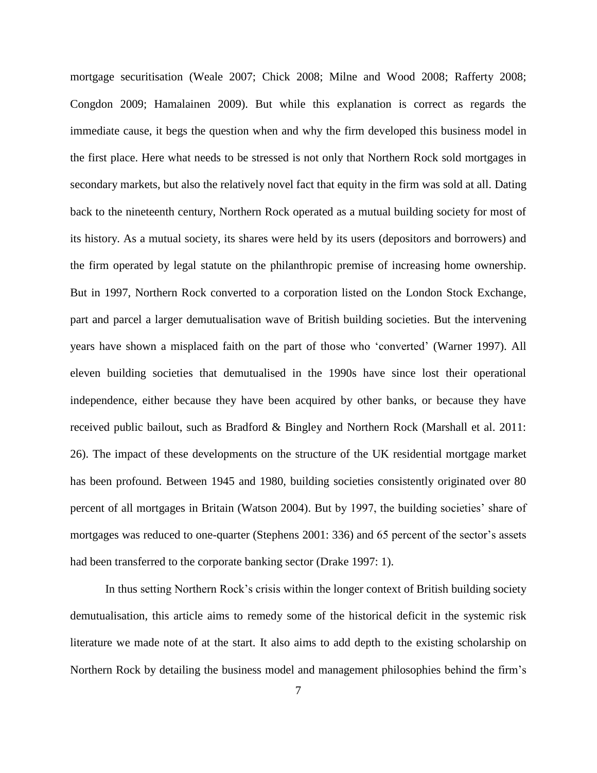mortgage securitisation (Weale 2007; Chick 2008; Milne and Wood 2008; Rafferty 2008; Congdon 2009; Hamalainen 2009). But while this explanation is correct as regards the immediate cause, it begs the question when and why the firm developed this business model in the first place. Here what needs to be stressed is not only that Northern Rock sold mortgages in secondary markets, but also the relatively novel fact that equity in the firm was sold at all. Dating back to the nineteenth century, Northern Rock operated as a mutual building society for most of its history. As a mutual society, its shares were held by its users (depositors and borrowers) and the firm operated by legal statute on the philanthropic premise of increasing home ownership. But in 1997, Northern Rock converted to a corporation listed on the London Stock Exchange, part and parcel a larger demutualisation wave of British building societies. But the intervening years have shown a misplaced faith on the part of those who 'converted' (Warner 1997). All eleven building societies that demutualised in the 1990s have since lost their operational independence, either because they have been acquired by other banks, or because they have received public bailout, such as Bradford & Bingley and Northern Rock (Marshall et al. 2011: 26). The impact of these developments on the structure of the UK residential mortgage market has been profound. Between 1945 and 1980, building societies consistently originated over 80 percent of all mortgages in Britain (Watson 2004). But by 1997, the building societies' share of mortgages was reduced to one-quarter (Stephens 2001: 336) and 65 percent of the sector's assets had been transferred to the corporate banking sector (Drake 1997: 1).

In thus setting Northern Rock's crisis within the longer context of British building society demutualisation, this article aims to remedy some of the historical deficit in the systemic risk literature we made note of at the start. It also aims to add depth to the existing scholarship on Northern Rock by detailing the business model and management philosophies behind the firm's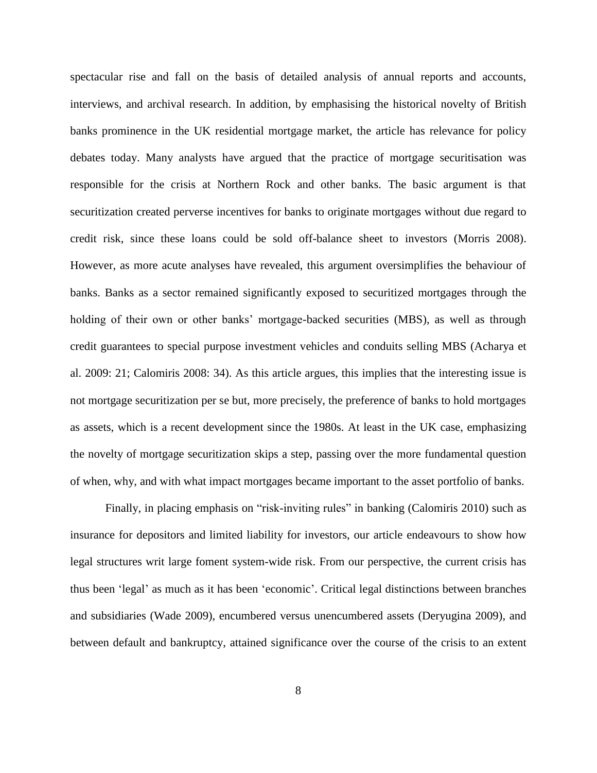spectacular rise and fall on the basis of detailed analysis of annual reports and accounts, interviews, and archival research. In addition, by emphasising the historical novelty of British banks prominence in the UK residential mortgage market, the article has relevance for policy debates today. Many analysts have argued that the practice of mortgage securitisation was responsible for the crisis at Northern Rock and other banks. The basic argument is that securitization created perverse incentives for banks to originate mortgages without due regard to credit risk, since these loans could be sold off-balance sheet to investors (Morris 2008). However, as more acute analyses have revealed, this argument oversimplifies the behaviour of banks. Banks as a sector remained significantly exposed to securitized mortgages through the holding of their own or other banks' mortgage-backed securities (MBS), as well as through credit guarantees to special purpose investment vehicles and conduits selling MBS (Acharya et al. 2009: 21; Calomiris 2008: 34). As this article argues, this implies that the interesting issue is not mortgage securitization per se but, more precisely, the preference of banks to hold mortgages as assets, which is a recent development since the 1980s. At least in the UK case, emphasizing the novelty of mortgage securitization skips a step, passing over the more fundamental question of when, why, and with what impact mortgages became important to the asset portfolio of banks.

Finally, in placing emphasis on "risk-inviting rules" in banking (Calomiris 2010) such as insurance for depositors and limited liability for investors, our article endeavours to show how legal structures writ large foment system-wide risk. From our perspective, the current crisis has thus been 'legal' as much as it has been 'economic'. Critical legal distinctions between branches and subsidiaries (Wade 2009), encumbered versus unencumbered assets (Deryugina 2009), and between default and bankruptcy, attained significance over the course of the crisis to an extent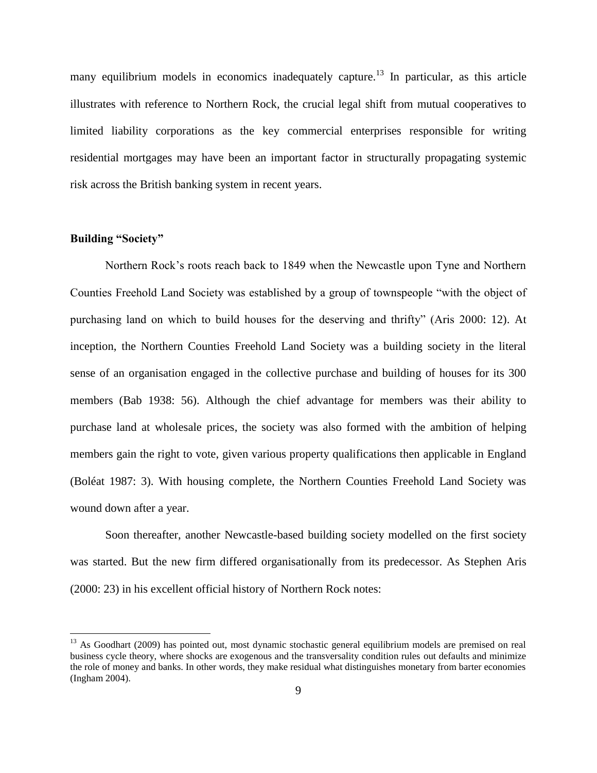many equilibrium models in economics inadequately capture.<sup>13</sup> In particular, as this article illustrates with reference to Northern Rock, the crucial legal shift from mutual cooperatives to limited liability corporations as the key commercial enterprises responsible for writing residential mortgages may have been an important factor in structurally propagating systemic risk across the British banking system in recent years.

## **Building "Society"**

 $\overline{a}$ 

Northern Rock's roots reach back to 1849 when the Newcastle upon Tyne and Northern Counties Freehold Land Society was established by a group of townspeople "with the object of purchasing land on which to build houses for the deserving and thrifty" (Aris 2000: 12). At inception, the Northern Counties Freehold Land Society was a building society in the literal sense of an organisation engaged in the collective purchase and building of houses for its 300 members (Bab 1938: 56). Although the chief advantage for members was their ability to purchase land at wholesale prices, the society was also formed with the ambition of helping members gain the right to vote, given various property qualifications then applicable in England (Boléat 1987: 3). With housing complete, the Northern Counties Freehold Land Society was wound down after a year.

Soon thereafter, another Newcastle-based building society modelled on the first society was started. But the new firm differed organisationally from its predecessor. As Stephen Aris (2000: 23) in his excellent official history of Northern Rock notes:

<sup>&</sup>lt;sup>13</sup> As Goodhart (2009) has pointed out, most dynamic stochastic general equilibrium models are premised on real business cycle theory, where shocks are exogenous and the transversality condition rules out defaults and minimize the role of money and banks. In other words, they make residual what distinguishes monetary from barter economies (Ingham 2004).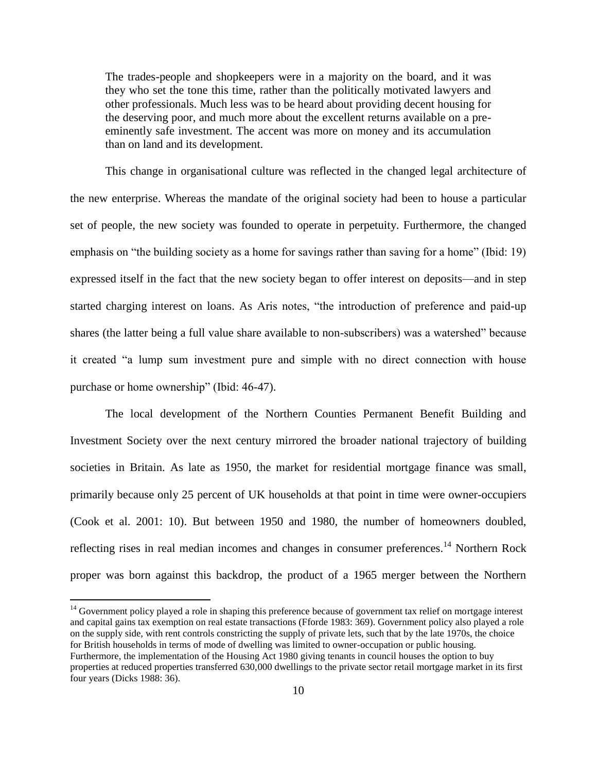The trades-people and shopkeepers were in a majority on the board, and it was they who set the tone this time, rather than the politically motivated lawyers and other professionals. Much less was to be heard about providing decent housing for the deserving poor, and much more about the excellent returns available on a preeminently safe investment. The accent was more on money and its accumulation than on land and its development.

This change in organisational culture was reflected in the changed legal architecture of the new enterprise. Whereas the mandate of the original society had been to house a particular set of people, the new society was founded to operate in perpetuity. Furthermore, the changed emphasis on "the building society as a home for savings rather than saving for a home" (Ibid: 19) expressed itself in the fact that the new society began to offer interest on deposits—and in step started charging interest on loans. As Aris notes, "the introduction of preference and paid-up shares (the latter being a full value share available to non-subscribers) was a watershed" because it created "a lump sum investment pure and simple with no direct connection with house purchase or home ownership" (Ibid: 46-47).

The local development of the Northern Counties Permanent Benefit Building and Investment Society over the next century mirrored the broader national trajectory of building societies in Britain. As late as 1950, the market for residential mortgage finance was small, primarily because only 25 percent of UK households at that point in time were owner-occupiers (Cook et al. 2001: 10). But between 1950 and 1980, the number of homeowners doubled, reflecting rises in real median incomes and changes in consumer preferences.<sup>14</sup> Northern Rock proper was born against this backdrop, the product of a 1965 merger between the Northern

<sup>&</sup>lt;sup>14</sup> Government policy played a role in shaping this preference because of government tax relief on mortgage interest and capital gains tax exemption on real estate transactions (Fforde 1983: 369). Government policy also played a role on the supply side, with rent controls constricting the supply of private lets, such that by the late 1970s, the choice for British households in terms of mode of dwelling was limited to owner-occupation or public housing. Furthermore, the implementation of the Housing Act 1980 giving tenants in council houses the option to buy properties at reduced properties transferred 630,000 dwellings to the private sector retail mortgage market in its first four years (Dicks 1988: 36).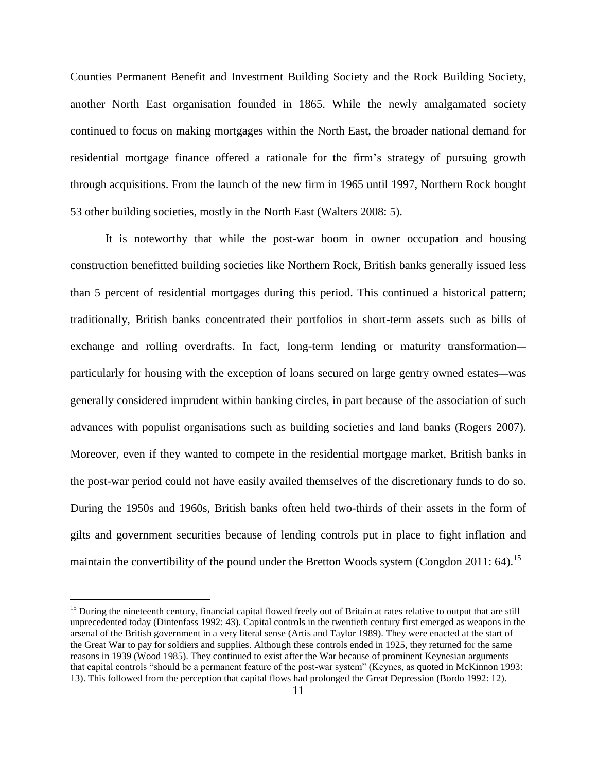Counties Permanent Benefit and Investment Building Society and the Rock Building Society, another North East organisation founded in 1865. While the newly amalgamated society continued to focus on making mortgages within the North East, the broader national demand for residential mortgage finance offered a rationale for the firm's strategy of pursuing growth through acquisitions. From the launch of the new firm in 1965 until 1997, Northern Rock bought 53 other building societies, mostly in the North East (Walters 2008: 5).

It is noteworthy that while the post-war boom in owner occupation and housing construction benefitted building societies like Northern Rock, British banks generally issued less than 5 percent of residential mortgages during this period. This continued a historical pattern; traditionally, British banks concentrated their portfolios in short-term assets such as bills of exchange and rolling overdrafts. In fact, long-term lending or maturity transformation particularly for housing with the exception of loans secured on large gentry owned estates—was generally considered imprudent within banking circles, in part because of the association of such advances with populist organisations such as building societies and land banks (Rogers 2007). Moreover, even if they wanted to compete in the residential mortgage market, British banks in the post-war period could not have easily availed themselves of the discretionary funds to do so. During the 1950s and 1960s, British banks often held two-thirds of their assets in the form of gilts and government securities because of lending controls put in place to fight inflation and maintain the convertibility of the pound under the Bretton Woods system (Congdon 2011: 64).<sup>15</sup>

<sup>&</sup>lt;sup>15</sup> During the nineteenth century, financial capital flowed freely out of Britain at rates relative to output that are still unprecedented today (Dintenfass 1992: 43). Capital controls in the twentieth century first emerged as weapons in the arsenal of the British government in a very literal sense (Artis and Taylor 1989). They were enacted at the start of the Great War to pay for soldiers and supplies. Although these controls ended in 1925, they returned for the same reasons in 1939 (Wood 1985). They continued to exist after the War because of prominent Keynesian arguments that capital controls "should be a permanent feature of the post-war system" (Keynes, as quoted in McKinnon 1993: 13). This followed from the perception that capital flows had prolonged the Great Depression (Bordo 1992: 12).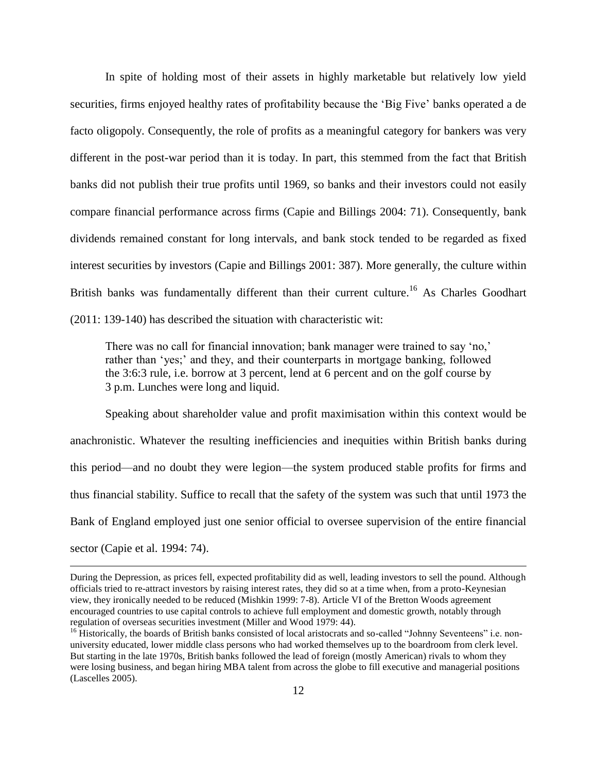In spite of holding most of their assets in highly marketable but relatively low yield securities, firms enjoyed healthy rates of profitability because the 'Big Five' banks operated a de facto oligopoly. Consequently, the role of profits as a meaningful category for bankers was very different in the post-war period than it is today. In part, this stemmed from the fact that British banks did not publish their true profits until 1969, so banks and their investors could not easily compare financial performance across firms (Capie and Billings 2004: 71). Consequently, bank dividends remained constant for long intervals, and bank stock tended to be regarded as fixed interest securities by investors (Capie and Billings 2001: 387). More generally, the culture within British banks was fundamentally different than their current culture.<sup>16</sup> As Charles Goodhart (2011: 139-140) has described the situation with characteristic wit:

There was no call for financial innovation; bank manager were trained to say 'no,' rather than 'yes;' and they, and their counterparts in mortgage banking, followed the 3:6:3 rule, i.e. borrow at 3 percent, lend at 6 percent and on the golf course by 3 p.m. Lunches were long and liquid.

Speaking about shareholder value and profit maximisation within this context would be anachronistic. Whatever the resulting inefficiencies and inequities within British banks during this period—and no doubt they were legion—the system produced stable profits for firms and thus financial stability. Suffice to recall that the safety of the system was such that until 1973 the Bank of England employed just one senior official to oversee supervision of the entire financial sector (Capie et al. 1994: 74).

During the Depression, as prices fell, expected profitability did as well, leading investors to sell the pound. Although officials tried to re-attract investors by raising interest rates, they did so at a time when, from a proto-Keynesian view, they ironically needed to be reduced (Mishkin 1999: 7-8). Article VI of the Bretton Woods agreement encouraged countries to use capital controls to achieve full employment and domestic growth, notably through regulation of overseas securities investment (Miller and Wood 1979: 44).

<sup>&</sup>lt;sup>16</sup> Historically, the boards of British banks consisted of local aristocrats and so-called "Johnny Seventeens" i.e. nonuniversity educated, lower middle class persons who had worked themselves up to the boardroom from clerk level. But starting in the late 1970s, British banks followed the lead of foreign (mostly American) rivals to whom they were losing business, and began hiring MBA talent from across the globe to fill executive and managerial positions (Lascelles 2005).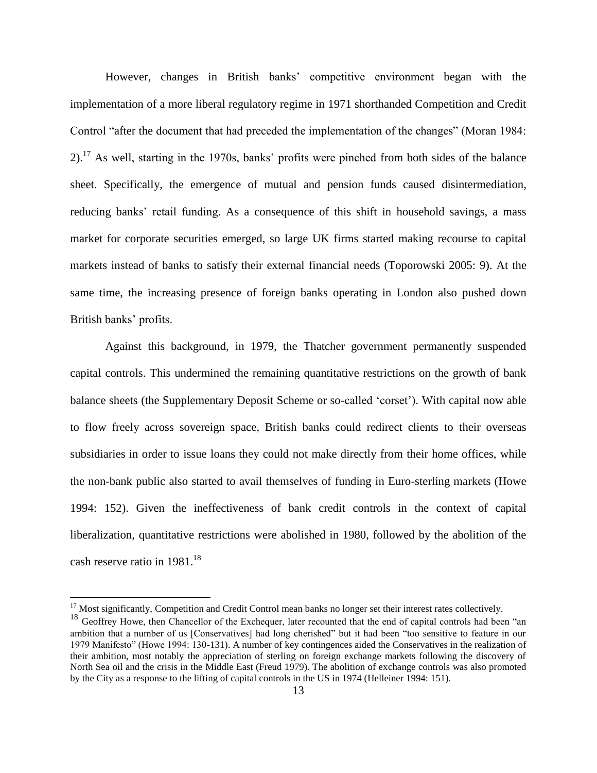However, changes in British banks' competitive environment began with the implementation of a more liberal regulatory regime in 1971 shorthanded Competition and Credit Control "after the document that had preceded the implementation of the changes" (Moran 1984:  $2$ ).<sup>17</sup> As well, starting in the 1970s, banks' profits were pinched from both sides of the balance sheet. Specifically, the emergence of mutual and pension funds caused disintermediation, reducing banks' retail funding. As a consequence of this shift in household savings, a mass market for corporate securities emerged, so large UK firms started making recourse to capital markets instead of banks to satisfy their external financial needs (Toporowski 2005: 9). At the same time, the increasing presence of foreign banks operating in London also pushed down British banks' profits.

Against this background, in 1979, the Thatcher government permanently suspended capital controls. This undermined the remaining quantitative restrictions on the growth of bank balance sheets (the Supplementary Deposit Scheme or so-called 'corset'). With capital now able to flow freely across sovereign space, British banks could redirect clients to their overseas subsidiaries in order to issue loans they could not make directly from their home offices, while the non-bank public also started to avail themselves of funding in Euro-sterling markets (Howe 1994: 152). Given the ineffectiveness of bank credit controls in the context of capital liberalization, quantitative restrictions were abolished in 1980, followed by the abolition of the cash reserve ratio in 1981.<sup>18</sup>

<sup>&</sup>lt;sup>17</sup> Most significantly, Competition and Credit Control mean banks no longer set their interest rates collectively.

<sup>&</sup>lt;sup>18</sup> Geoffrey Howe, then Chancellor of the Exchequer, later recounted that the end of capital controls had been "an ambition that a number of us [Conservatives] had long cherished" but it had been "too sensitive to feature in our 1979 Manifesto" (Howe 1994: 130-131). A number of key contingences aided the Conservatives in the realization of their ambition, most notably the appreciation of sterling on foreign exchange markets following the discovery of North Sea oil and the crisis in the Middle East (Freud 1979). The abolition of exchange controls was also promoted by the City as a response to the lifting of capital controls in the US in 1974 (Helleiner 1994: 151).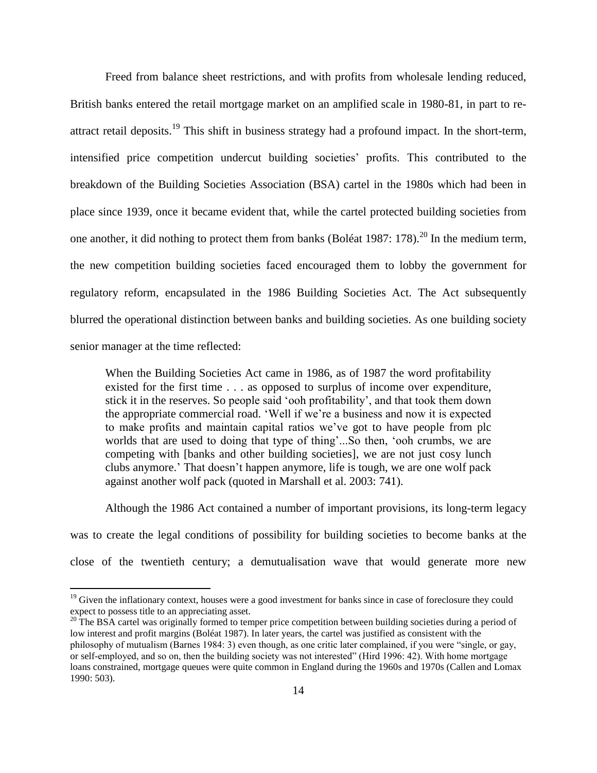Freed from balance sheet restrictions, and with profits from wholesale lending reduced, British banks entered the retail mortgage market on an amplified scale in 1980-81, in part to reattract retail deposits.<sup>19</sup> This shift in business strategy had a profound impact. In the short-term, intensified price competition undercut building societies' profits. This contributed to the breakdown of the Building Societies Association (BSA) cartel in the 1980s which had been in place since 1939, once it became evident that, while the cartel protected building societies from one another, it did nothing to protect them from banks (Boléat 1987: 178).<sup>20</sup> In the medium term, the new competition building societies faced encouraged them to lobby the government for regulatory reform, encapsulated in the 1986 Building Societies Act. The Act subsequently blurred the operational distinction between banks and building societies. As one building society senior manager at the time reflected:

When the Building Societies Act came in 1986, as of 1987 the word profitability existed for the first time . . . as opposed to surplus of income over expenditure, stick it in the reserves. So people said 'ooh profitability', and that took them down the appropriate commercial road. 'Well if we're a business and now it is expected to make profits and maintain capital ratios we've got to have people from plc worlds that are used to doing that type of thing'...So then, 'ooh crumbs, we are competing with [banks and other building societies], we are not just cosy lunch clubs anymore.' That doesn't happen anymore, life is tough, we are one wolf pack against another wolf pack (quoted in Marshall et al. 2003: 741).

Although the 1986 Act contained a number of important provisions, its long-term legacy

was to create the legal conditions of possibility for building societies to become banks at the

close of the twentieth century; a demutualisation wave that would generate more new

 $19$  Given the inflationary context, houses were a good investment for banks since in case of foreclosure they could expect to possess title to an appreciating asset.

 $20$  The BSA cartel was originally formed to temper price competition between building societies during a period of low interest and profit margins (Boléat 1987). In later years, the cartel was justified as consistent with the philosophy of mutualism (Barnes 1984: 3) even though, as one critic later complained, if you were "single, or gay, or self-employed, and so on, then the building society was not interested" (Hird 1996: 42). With home mortgage loans constrained, mortgage queues were quite common in England during the 1960s and 1970s (Callen and Lomax 1990: 503).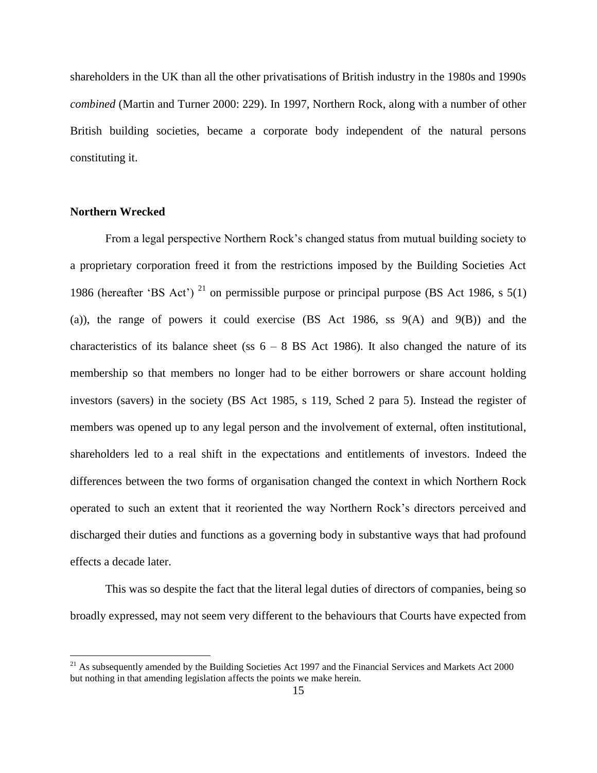shareholders in the UK than all the other privatisations of British industry in the 1980s and 1990s *combined* (Martin and Turner 2000: 229). In 1997, Northern Rock, along with a number of other British building societies, became a corporate body independent of the natural persons constituting it.

#### **Northern Wrecked**

 $\overline{a}$ 

From a legal perspective Northern Rock's changed status from mutual building society to a proprietary corporation freed it from the restrictions imposed by the Building Societies Act 1986 (hereafter 'BS Act')<sup>21</sup> on permissible purpose or principal purpose (BS Act 1986, s 5(1) (a)), the range of powers it could exercise  $(BS \text{ Act } 1986, \text{ ss } 9(A) \text{ and } 9(B))$  and the characteristics of its balance sheet (ss  $6 - 8$  BS Act 1986). It also changed the nature of its membership so that members no longer had to be either borrowers or share account holding investors (savers) in the society (BS Act 1985, s 119, Sched 2 para 5). Instead the register of members was opened up to any legal person and the involvement of external, often institutional, shareholders led to a real shift in the expectations and entitlements of investors. Indeed the differences between the two forms of organisation changed the context in which Northern Rock operated to such an extent that it reoriented the way Northern Rock's directors perceived and discharged their duties and functions as a governing body in substantive ways that had profound effects a decade later.

This was so despite the fact that the literal legal duties of directors of companies, being so broadly expressed, may not seem very different to the behaviours that Courts have expected from

 $^{21}$  As subsequently amended by the Building Societies Act 1997 and the Financial Services and Markets Act 2000 but nothing in that amending legislation affects the points we make herein.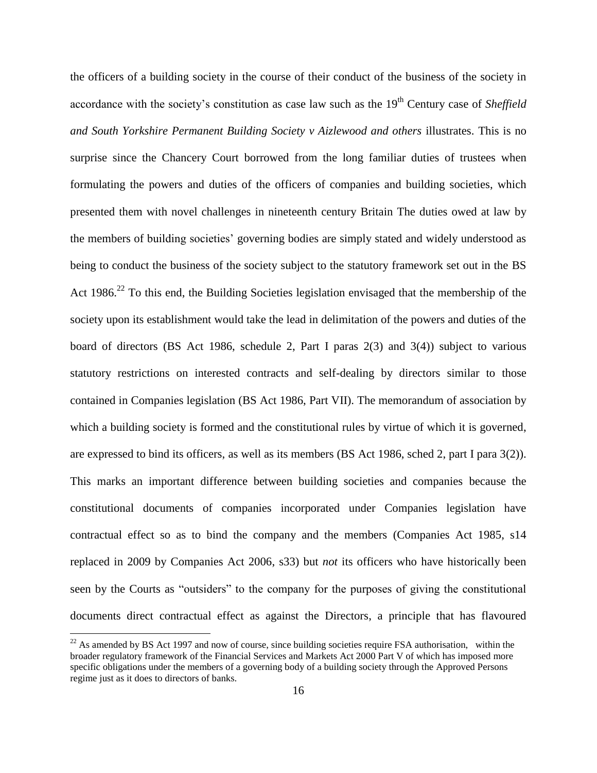the officers of a building society in the course of their conduct of the business of the society in accordance with the society's constitution as case law such as the 19<sup>th</sup> Century case of *Sheffield and South Yorkshire Permanent Building Society v Aizlewood and others* illustrates. This is no surprise since the Chancery Court borrowed from the long familiar duties of trustees when formulating the powers and duties of the officers of companies and building societies, which presented them with novel challenges in nineteenth century Britain The duties owed at law by the members of building societies' governing bodies are simply stated and widely understood as being to conduct the business of the society subject to the statutory framework set out in the BS Act  $1986.<sup>22</sup>$  To this end, the Building Societies legislation envisaged that the membership of the society upon its establishment would take the lead in delimitation of the powers and duties of the board of directors (BS Act 1986, schedule 2, Part I paras 2(3) and 3(4)) subject to various statutory restrictions on interested contracts and self-dealing by directors similar to those contained in Companies legislation (BS Act 1986, Part VII). The memorandum of association by which a building society is formed and the constitutional rules by virtue of which it is governed, are expressed to bind its officers, as well as its members (BS Act 1986, sched 2, part I para 3(2)). This marks an important difference between building societies and companies because the constitutional documents of companies incorporated under Companies legislation have contractual effect so as to bind the company and the members (Companies Act 1985, s14 replaced in 2009 by Companies Act 2006, s33) but *not* its officers who have historically been seen by the Courts as "outsiders" to the company for the purposes of giving the constitutional documents direct contractual effect as against the Directors, a principle that has flavoured

 $^{22}$  As amended by BS Act 1997 and now of course, since building societies require FSA authorisation, within the broader regulatory framework of the Financial Services and Markets Act 2000 Part V of which has imposed more specific obligations under the members of a governing body of a building society through the Approved Persons regime just as it does to directors of banks.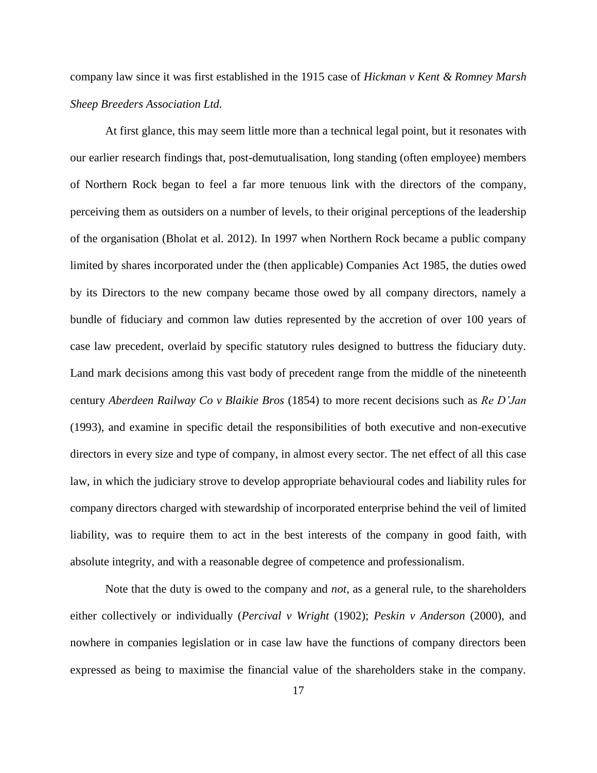company law since it was first established in the 1915 case of *Hickman v Kent & Romney Marsh Sheep Breeders Association Ltd.*

At first glance, this may seem little more than a technical legal point, but it resonates with our earlier research findings that, post-demutualisation, long standing (often employee) members of Northern Rock began to feel a far more tenuous link with the directors of the company, perceiving them as outsiders on a number of levels, to their original perceptions of the leadership of the organisation (Bholat et al. 2012). In 1997 when Northern Rock became a public company limited by shares incorporated under the (then applicable) Companies Act 1985, the duties owed by its Directors to the new company became those owed by all company directors, namely a bundle of fiduciary and common law duties represented by the accretion of over 100 years of case law precedent, overlaid by specific statutory rules designed to buttress the fiduciary duty. Land mark decisions among this vast body of precedent range from the middle of the nineteenth century *Aberdeen Railway Co v Blaikie Bros* (1854) to more recent decisions such as *Re D'Jan* (1993), and examine in specific detail the responsibilities of both executive and non-executive directors in every size and type of company, in almost every sector. The net effect of all this case law, in which the judiciary strove to develop appropriate behavioural codes and liability rules for company directors charged with stewardship of incorporated enterprise behind the veil of limited liability, was to require them to act in the best interests of the company in good faith, with absolute integrity, and with a reasonable degree of competence and professionalism.

Note that the duty is owed to the company and *not*, as a general rule, to the shareholders either collectively or individually (*Percival v Wright* (1902); *Peskin v Anderson* (2000), and nowhere in companies legislation or in case law have the functions of company directors been expressed as being to maximise the financial value of the shareholders stake in the company.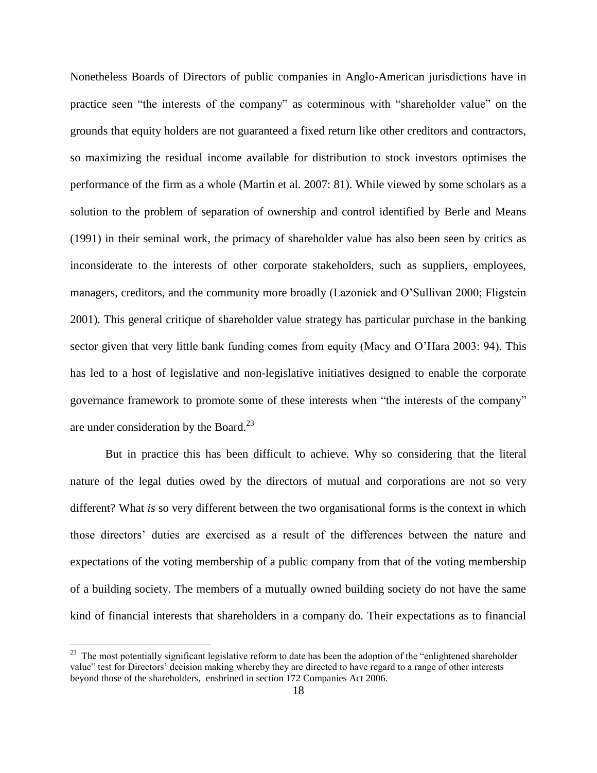Nonetheless Boards of Directors of public companies in Anglo-American jurisdictions have in practice seen "the interests of the company" as coterminous with "shareholder value" on the grounds that equity holders are not guaranteed a fixed return like other creditors and contractors, so maximizing the residual income available for distribution to stock investors optimises the performance of the firm as a whole (Martin et al. 2007: 81). While viewed by some scholars as a solution to the problem of separation of ownership and control identified by Berle and Means (1991) in their seminal work, the primacy of shareholder value has also been seen by critics as inconsiderate to the interests of other corporate stakeholders, such as suppliers, employees, managers, creditors, and the community more broadly (Lazonick and O'Sullivan 2000; Fligstein 2001). This general critique of shareholder value strategy has particular purchase in the banking sector given that very little bank funding comes from equity (Macy and O'Hara 2003: 94). This has led to a host of legislative and non-legislative initiatives designed to enable the corporate governance framework to promote some of these interests when "the interests of the company" are under consideration by the Board.<sup>23</sup>

But in practice this has been difficult to achieve. Why so considering that the literal nature of the legal duties owed by the directors of mutual and corporations are not so very different? What *is* so very different between the two organisational forms is the context in which those directors' duties are exercised as a result of the differences between the nature and expectations of the voting membership of a public company from that of the voting membership of a building society. The members of a mutually owned building society do not have the same kind of financial interests that shareholders in a company do. Their expectations as to financial

 $23$  The most potentially significant legislative reform to date has been the adoption of the "enlightened shareholder" value" test for Directors' decision making whereby they are directed to have regard to a range of other interests beyond those of the shareholders, enshrined in section 172 Companies Act 2006.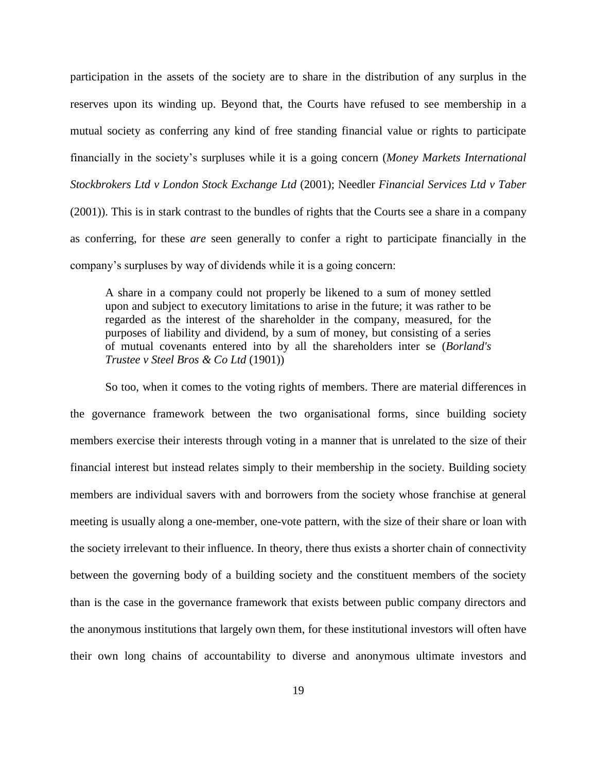participation in the assets of the society are to share in the distribution of any surplus in the reserves upon its winding up. Beyond that, the Courts have refused to see membership in a mutual society as conferring any kind of free standing financial value or rights to participate financially in the society's surpluses while it is a going concern (*Money Markets International Stockbrokers Ltd v London Stock Exchange Ltd* (2001); Needler *Financial Services Ltd v Taber* (2001)). This is in stark contrast to the bundles of rights that the Courts see a share in a company as conferring, for these *are* seen generally to confer a right to participate financially in the company's surpluses by way of dividends while it is a going concern:

A share in a company could not properly be likened to a sum of money settled upon and subject to executory limitations to arise in the future; it was rather to be regarded as the interest of the shareholder in the company, measured, for the purposes of liability and dividend, by a sum of money, but consisting of a series of mutual covenants entered into by all the shareholders inter se (*Borland's Trustee v Steel Bros & Co Ltd* (1901))

So too, when it comes to the voting rights of members. There are material differences in the governance framework between the two organisational forms, since building society members exercise their interests through voting in a manner that is unrelated to the size of their financial interest but instead relates simply to their membership in the society. Building society members are individual savers with and borrowers from the society whose franchise at general meeting is usually along a one-member, one-vote pattern, with the size of their share or loan with the society irrelevant to their influence. In theory, there thus exists a shorter chain of connectivity between the governing body of a building society and the constituent members of the society than is the case in the governance framework that exists between public company directors and the anonymous institutions that largely own them, for these institutional investors will often have their own long chains of accountability to diverse and anonymous ultimate investors and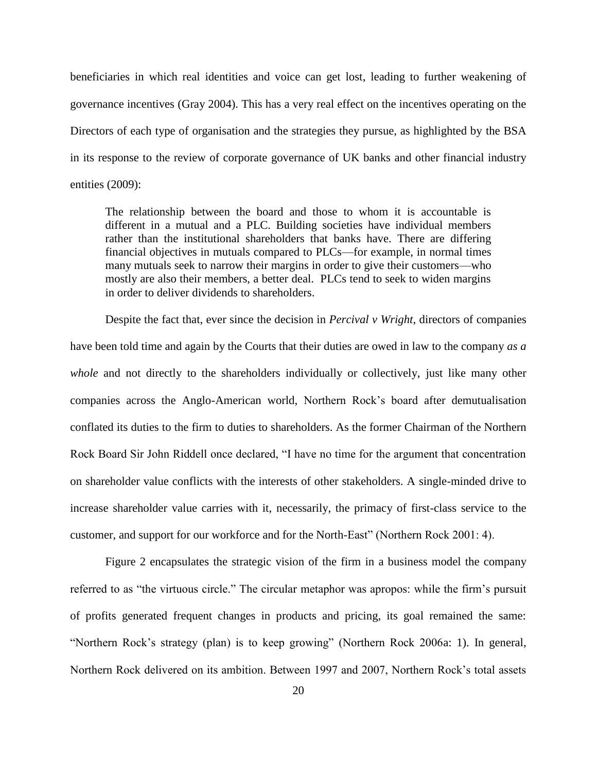beneficiaries in which real identities and voice can get lost, leading to further weakening of governance incentives (Gray 2004). This has a very real effect on the incentives operating on the Directors of each type of organisation and the strategies they pursue, as highlighted by the BSA in its response to the review of corporate governance of UK banks and other financial industry entities (2009):

The relationship between the board and those to whom it is accountable is different in a mutual and a PLC. Building societies have individual members rather than the institutional shareholders that banks have. There are differing financial objectives in mutuals compared to PLCs—for example, in normal times many mutuals seek to narrow their margins in order to give their customers—who mostly are also their members, a better deal. PLCs tend to seek to widen margins in order to deliver dividends to shareholders.

Despite the fact that, ever since the decision in *Percival v Wright*, directors of companies have been told time and again by the Courts that their duties are owed in law to the company *as a whole* and not directly to the shareholders individually or collectively, just like many other companies across the Anglo-American world, Northern Rock's board after demutualisation conflated its duties to the firm to duties to shareholders. As the former Chairman of the Northern Rock Board Sir John Riddell once declared, "I have no time for the argument that concentration on shareholder value conflicts with the interests of other stakeholders. A single-minded drive to increase shareholder value carries with it, necessarily, the primacy of first-class service to the customer, and support for our workforce and for the North-East" (Northern Rock 2001: 4).

Figure 2 encapsulates the strategic vision of the firm in a business model the company referred to as "the virtuous circle." The circular metaphor was apropos: while the firm's pursuit of profits generated frequent changes in products and pricing, its goal remained the same: "Northern Rock's strategy (plan) is to keep growing" (Northern Rock 2006a: 1). In general, Northern Rock delivered on its ambition. Between 1997 and 2007, Northern Rock's total assets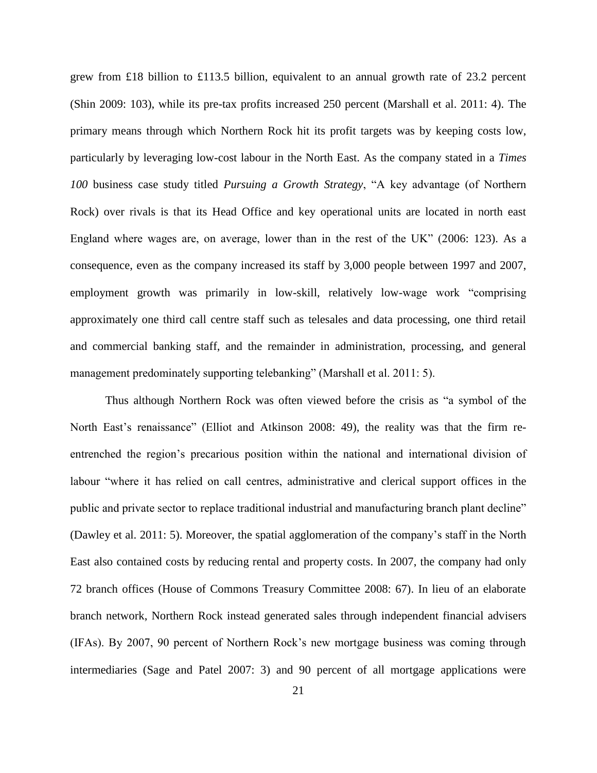grew from £18 billion to £113.5 billion, equivalent to an annual growth rate of 23.2 percent (Shin 2009: 103), while its pre-tax profits increased 250 percent (Marshall et al. 2011: 4). The primary means through which Northern Rock hit its profit targets was by keeping costs low, particularly by leveraging low-cost labour in the North East. As the company stated in a *Times 100* business case study titled *Pursuing a Growth Strategy*, "A key advantage (of Northern Rock) over rivals is that its Head Office and key operational units are located in north east England where wages are, on average, lower than in the rest of the UK" (2006: 123). As a consequence, even as the company increased its staff by 3,000 people between 1997 and 2007, employment growth was primarily in low-skill, relatively low-wage work "comprising approximately one third call centre staff such as telesales and data processing, one third retail and commercial banking staff, and the remainder in administration, processing, and general management predominately supporting telebanking" (Marshall et al. 2011: 5).

Thus although Northern Rock was often viewed before the crisis as "a symbol of the North East's renaissance" (Elliot and Atkinson 2008: 49), the reality was that the firm reentrenched the region's precarious position within the national and international division of labour "where it has relied on call centres, administrative and clerical support offices in the public and private sector to replace traditional industrial and manufacturing branch plant decline" (Dawley et al. 2011: 5). Moreover, the spatial agglomeration of the company's staff in the North East also contained costs by reducing rental and property costs. In 2007, the company had only 72 branch offices (House of Commons Treasury Committee 2008: 67). In lieu of an elaborate branch network, Northern Rock instead generated sales through independent financial advisers (IFAs). By 2007, 90 percent of Northern Rock's new mortgage business was coming through intermediaries (Sage and Patel 2007: 3) and 90 percent of all mortgage applications were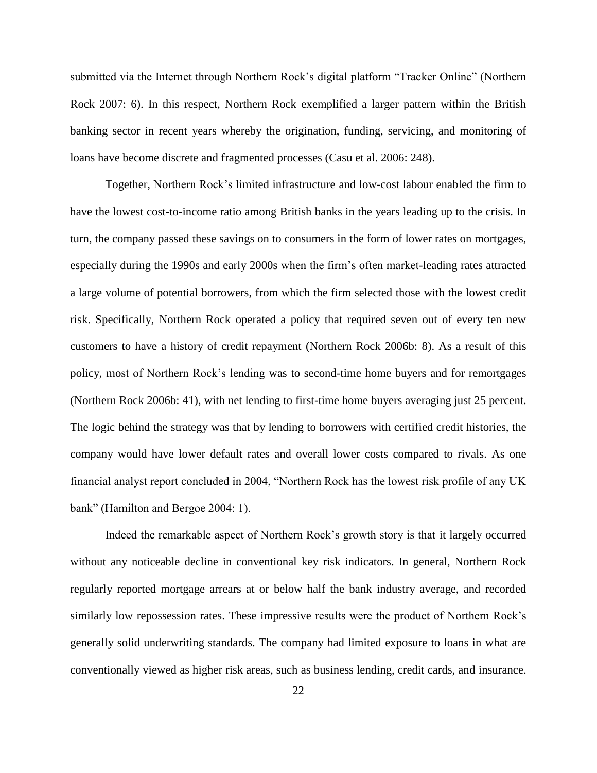submitted via the Internet through Northern Rock's digital platform "Tracker Online" (Northern Rock 2007: 6). In this respect, Northern Rock exemplified a larger pattern within the British banking sector in recent years whereby the origination, funding, servicing, and monitoring of loans have become discrete and fragmented processes (Casu et al. 2006: 248).

Together, Northern Rock's limited infrastructure and low-cost labour enabled the firm to have the lowest cost-to-income ratio among British banks in the years leading up to the crisis. In turn, the company passed these savings on to consumers in the form of lower rates on mortgages, especially during the 1990s and early 2000s when the firm's often market-leading rates attracted a large volume of potential borrowers, from which the firm selected those with the lowest credit risk. Specifically, Northern Rock operated a policy that required seven out of every ten new customers to have a history of credit repayment (Northern Rock 2006b: 8). As a result of this policy, most of Northern Rock's lending was to second-time home buyers and for remortgages (Northern Rock 2006b: 41), with net lending to first-time home buyers averaging just 25 percent. The logic behind the strategy was that by lending to borrowers with certified credit histories, the company would have lower default rates and overall lower costs compared to rivals. As one financial analyst report concluded in 2004, "Northern Rock has the lowest risk profile of any UK bank" (Hamilton and Bergoe 2004: 1).

Indeed the remarkable aspect of Northern Rock's growth story is that it largely occurred without any noticeable decline in conventional key risk indicators. In general, Northern Rock regularly reported mortgage arrears at or below half the bank industry average, and recorded similarly low repossession rates. These impressive results were the product of Northern Rock's generally solid underwriting standards. The company had limited exposure to loans in what are conventionally viewed as higher risk areas, such as business lending, credit cards, and insurance.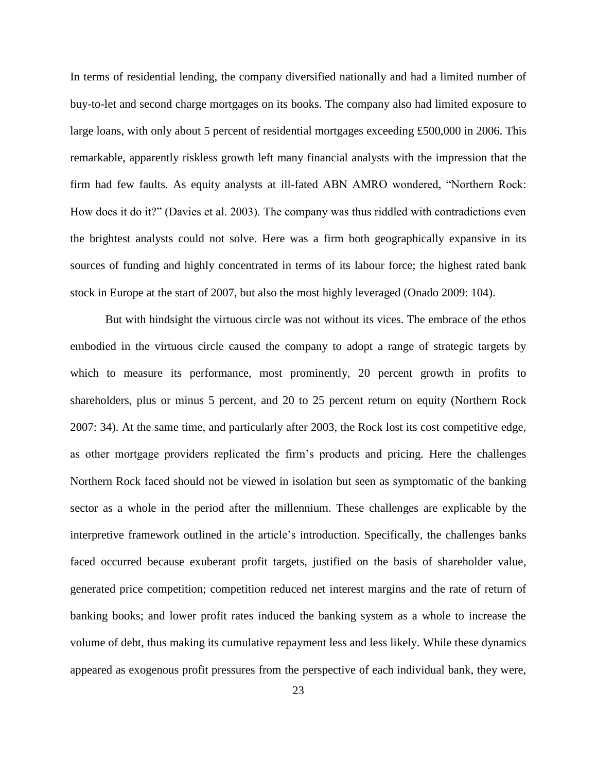In terms of residential lending, the company diversified nationally and had a limited number of buy-to-let and second charge mortgages on its books. The company also had limited exposure to large loans, with only about 5 percent of residential mortgages exceeding £500,000 in 2006. This remarkable, apparently riskless growth left many financial analysts with the impression that the firm had few faults. As equity analysts at ill-fated ABN AMRO wondered, "Northern Rock: How does it do it?" (Davies et al. 2003). The company was thus riddled with contradictions even the brightest analysts could not solve. Here was a firm both geographically expansive in its sources of funding and highly concentrated in terms of its labour force; the highest rated bank stock in Europe at the start of 2007, but also the most highly leveraged (Onado 2009: 104).

But with hindsight the virtuous circle was not without its vices. The embrace of the ethos embodied in the virtuous circle caused the company to adopt a range of strategic targets by which to measure its performance, most prominently, 20 percent growth in profits to shareholders, plus or minus 5 percent, and 20 to 25 percent return on equity (Northern Rock 2007: 34). At the same time, and particularly after 2003, the Rock lost its cost competitive edge, as other mortgage providers replicated the firm's products and pricing. Here the challenges Northern Rock faced should not be viewed in isolation but seen as symptomatic of the banking sector as a whole in the period after the millennium. These challenges are explicable by the interpretive framework outlined in the article's introduction. Specifically, the challenges banks faced occurred because exuberant profit targets, justified on the basis of shareholder value, generated price competition; competition reduced net interest margins and the rate of return of banking books; and lower profit rates induced the banking system as a whole to increase the volume of debt, thus making its cumulative repayment less and less likely. While these dynamics appeared as exogenous profit pressures from the perspective of each individual bank, they were,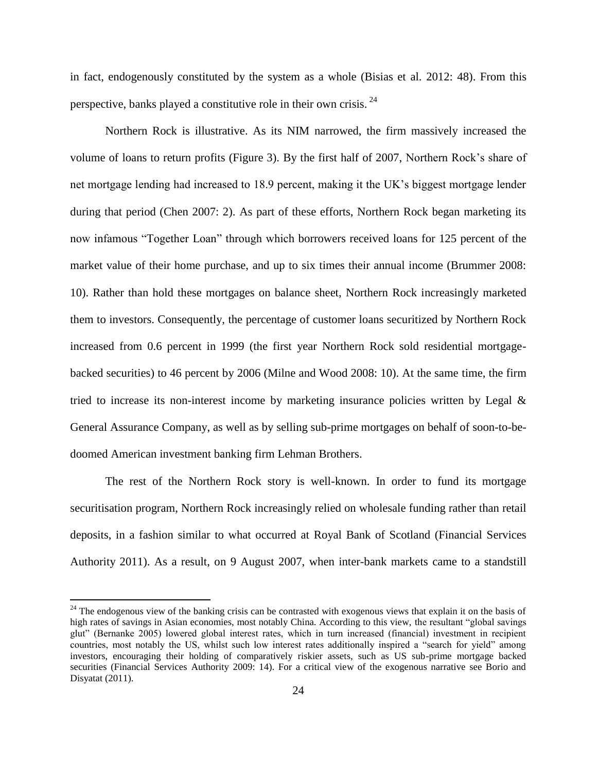in fact, endogenously constituted by the system as a whole (Bisias et al. 2012: 48). From this perspective, banks played a constitutive role in their own crisis. <sup>24</sup>

Northern Rock is illustrative. As its NIM narrowed, the firm massively increased the volume of loans to return profits (Figure 3). By the first half of 2007, Northern Rock's share of net mortgage lending had increased to 18.9 percent, making it the UK's biggest mortgage lender during that period (Chen 2007: 2). As part of these efforts, Northern Rock began marketing its now infamous "Together Loan" through which borrowers received loans for 125 percent of the market value of their home purchase, and up to six times their annual income (Brummer 2008: 10). Rather than hold these mortgages on balance sheet, Northern Rock increasingly marketed them to investors. Consequently, the percentage of customer loans securitized by Northern Rock increased from 0.6 percent in 1999 (the first year Northern Rock sold residential mortgagebacked securities) to 46 percent by 2006 (Milne and Wood 2008: 10). At the same time, the firm tried to increase its non-interest income by marketing insurance policies written by Legal & General Assurance Company, as well as by selling sub-prime mortgages on behalf of soon-to-bedoomed American investment banking firm Lehman Brothers.

The rest of the Northern Rock story is well-known. In order to fund its mortgage securitisation program, Northern Rock increasingly relied on wholesale funding rather than retail deposits, in a fashion similar to what occurred at Royal Bank of Scotland (Financial Services Authority 2011). As a result, on 9 August 2007, when inter-bank markets came to a standstill

<sup>&</sup>lt;sup>24</sup> The endogenous view of the banking crisis can be contrasted with exogenous views that explain it on the basis of high rates of savings in Asian economies, most notably China. According to this view, the resultant "global savings glut" (Bernanke 2005) lowered global interest rates, which in turn increased (financial) investment in recipient countries, most notably the US, whilst such low interest rates additionally inspired a "search for yield" among investors, encouraging their holding of comparatively riskier assets, such as US sub-prime mortgage backed securities (Financial Services Authority 2009: 14). For a critical view of the exogenous narrative see Borio and Disyatat (2011).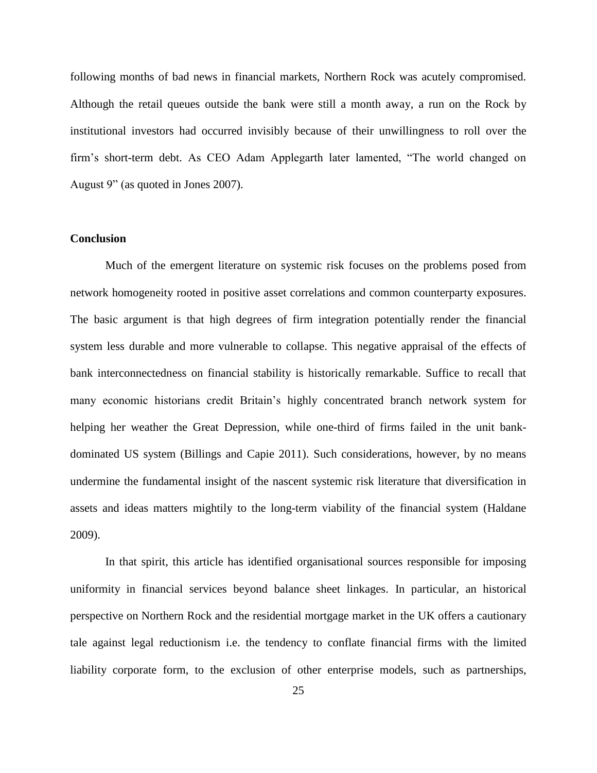following months of bad news in financial markets, Northern Rock was acutely compromised. Although the retail queues outside the bank were still a month away, a run on the Rock by institutional investors had occurred invisibly because of their unwillingness to roll over the firm's short-term debt. As CEO Adam Applegarth later lamented, "The world changed on August 9" (as quoted in Jones 2007).

#### **Conclusion**

Much of the emergent literature on systemic risk focuses on the problems posed from network homogeneity rooted in positive asset correlations and common counterparty exposures. The basic argument is that high degrees of firm integration potentially render the financial system less durable and more vulnerable to collapse. This negative appraisal of the effects of bank interconnectedness on financial stability is historically remarkable. Suffice to recall that many economic historians credit Britain's highly concentrated branch network system for helping her weather the Great Depression, while one-third of firms failed in the unit bankdominated US system (Billings and Capie 2011). Such considerations, however, by no means undermine the fundamental insight of the nascent systemic risk literature that diversification in assets and ideas matters mightily to the long-term viability of the financial system (Haldane 2009).

In that spirit, this article has identified organisational sources responsible for imposing uniformity in financial services beyond balance sheet linkages. In particular, an historical perspective on Northern Rock and the residential mortgage market in the UK offers a cautionary tale against legal reductionism i.e. the tendency to conflate financial firms with the limited liability corporate form, to the exclusion of other enterprise models, such as partnerships,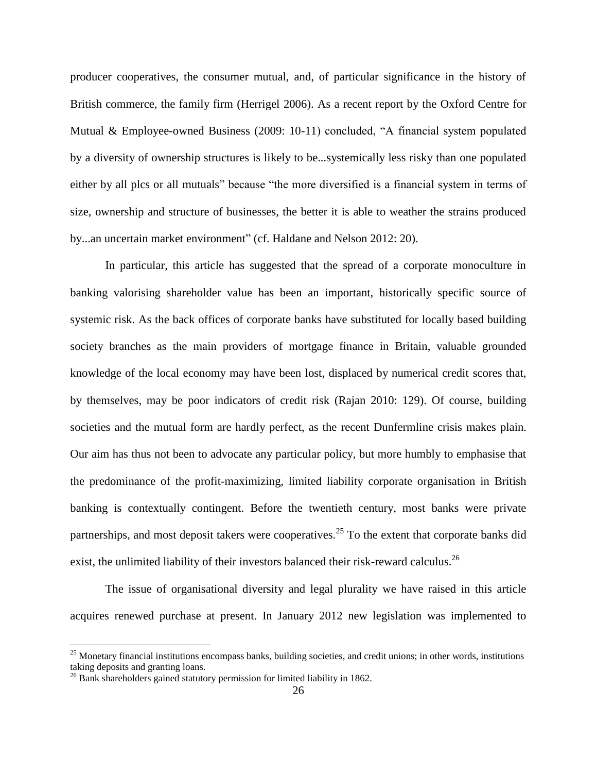producer cooperatives, the consumer mutual, and, of particular significance in the history of British commerce, the family firm (Herrigel 2006). As a recent report by the Oxford Centre for Mutual & Employee-owned Business (2009: 10-11) concluded, "A financial system populated by a diversity of ownership structures is likely to be...systemically less risky than one populated either by all plcs or all mutuals" because "the more diversified is a financial system in terms of size, ownership and structure of businesses, the better it is able to weather the strains produced by...an uncertain market environment" (cf. Haldane and Nelson 2012: 20).

In particular, this article has suggested that the spread of a corporate monoculture in banking valorising shareholder value has been an important, historically specific source of systemic risk. As the back offices of corporate banks have substituted for locally based building society branches as the main providers of mortgage finance in Britain, valuable grounded knowledge of the local economy may have been lost, displaced by numerical credit scores that, by themselves, may be poor indicators of credit risk (Rajan 2010: 129). Of course, building societies and the mutual form are hardly perfect, as the recent Dunfermline crisis makes plain. Our aim has thus not been to advocate any particular policy, but more humbly to emphasise that the predominance of the profit-maximizing, limited liability corporate organisation in British banking is contextually contingent. Before the twentieth century, most banks were private partnerships, and most deposit takers were cooperatives.<sup>25</sup> To the extent that corporate banks did exist, the unlimited liability of their investors balanced their risk-reward calculus.<sup>26</sup>

The issue of organisational diversity and legal plurality we have raised in this article acquires renewed purchase at present. In January 2012 new legislation was implemented to

<sup>&</sup>lt;sup>25</sup> Monetary financial institutions encompass banks, building societies, and credit unions; in other words, institutions taking deposits and granting loans.

 $26$  Bank shareholders gained statutory permission for limited liability in 1862.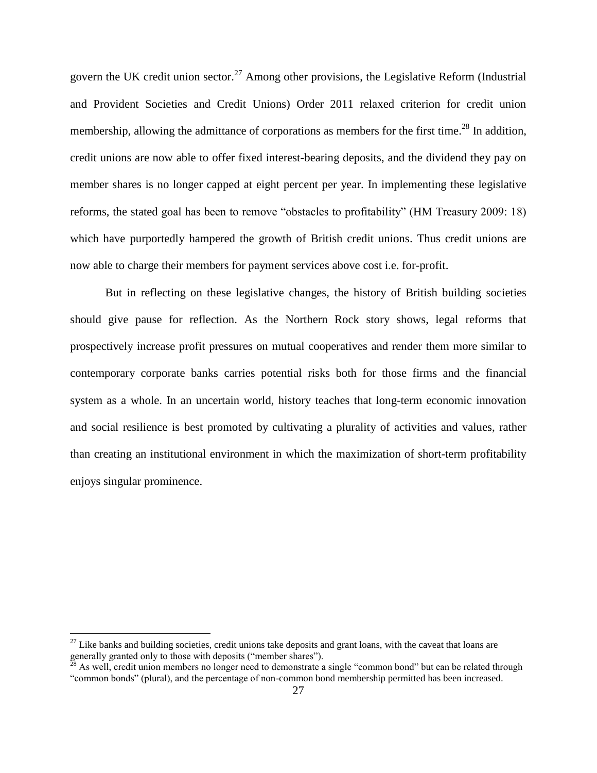govern the UK credit union sector.<sup>27</sup> Among other provisions, the Legislative Reform (Industrial and Provident Societies and Credit Unions) Order 2011 relaxed criterion for credit union membership, allowing the admittance of corporations as members for the first time.<sup>28</sup> In addition, credit unions are now able to offer fixed interest-bearing deposits, and the dividend they pay on member shares is no longer capped at eight percent per year. In implementing these legislative reforms, the stated goal has been to remove "obstacles to profitability" (HM Treasury 2009: 18) which have purportedly hampered the growth of British credit unions. Thus credit unions are now able to charge their members for payment services above cost i.e. for-profit.

But in reflecting on these legislative changes, the history of British building societies should give pause for reflection. As the Northern Rock story shows, legal reforms that prospectively increase profit pressures on mutual cooperatives and render them more similar to contemporary corporate banks carries potential risks both for those firms and the financial system as a whole. In an uncertain world, history teaches that long-term economic innovation and social resilience is best promoted by cultivating a plurality of activities and values, rather than creating an institutional environment in which the maximization of short-term profitability enjoys singular prominence.

 $^{27}$  Like banks and building societies, credit unions take deposits and grant loans, with the caveat that loans are generally granted only to those with deposits ("member shares").

 $^{\text{28}}$  As well, credit union members no longer need to demonstrate a single "common bond" but can be related through "common bonds" (plural), and the percentage of non-common bond membership permitted has been increased.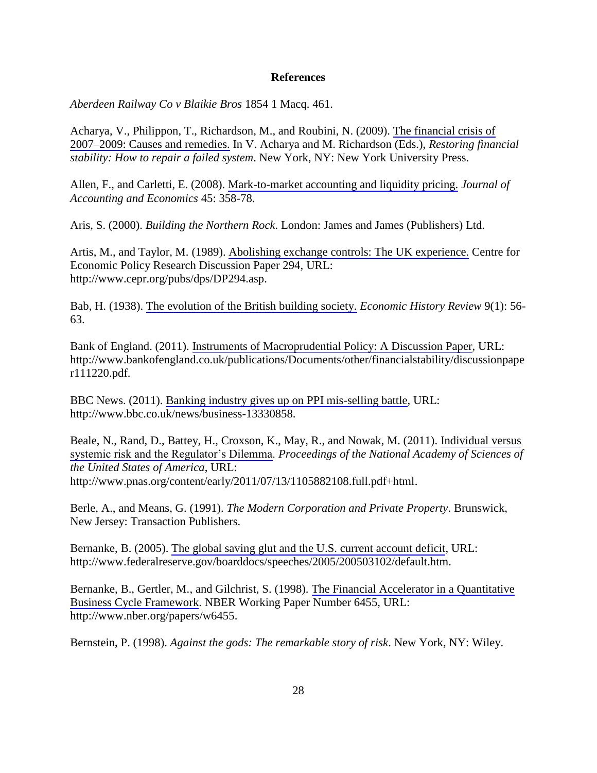#### **References**

*Aberdeen Railway Co v Blaikie Bros* 1854 1 Macq. 461.

Acharya, V., Philippon, T., Richardson, M., and Roubini, N. (2009). [The financial crisis of](http://onlinelibrary.wiley.com/doi/10.1111/j.1468-0416.2009.00147_2.x/abstract) [2007–2009: Causes and remedies.](http://onlinelibrary.wiley.com/doi/10.1111/j.1468-0416.2009.00147_2.x/abstract) In V. Acharya and M. Richardson (Eds.), *Restoring financial stability: How to repair a failed system*. New York, NY: New York University Press.

Allen, F., and Carletti, E. (2008). [Mark-to-market accounting and liquidity pricing.](http://ideas.repec.org/a/eee/jaecon/v45y2008i2-3p358-378.html) *Journal of Accounting and Economics* 45: 358-78.

Aris, S. (2000). *Building the Northern Rock*. London: James and James (Publishers) Ltd.

Artis, M., and Taylor, M. (1989). [Abolishing exchange controls: The UK experience.](http://ideas.repec.org/p/cpr/ceprdp/294.html) Centre for Economic Policy Research Discussion Paper 294, URL: http://www.cepr.org/pubs/dps/DP294.asp.

Bab, H. (1938). [The evolution of the British building society.](http://www.jstor.org/stable/2589967) *Economic History Review* 9(1): 56- 63.

Bank of England. (2011). [Instruments of Macroprudential Policy: A Discussion Paper,](http://www.bankofengland.co.uk/publications/Documents/other/financialstability/discussionpaper111220.pdf) URL: http://www.bankofengland.co.uk/publications/Documents/other/financialstability/discussionpape r111220.pdf.

BBC News. (2011). Banking [industry gives up on PPI mis-selling battle](http://www.bbc.co.uk/news/business-13330858), URL: http://www.bbc.co.uk/news/business-13330858.

Beale, N., Rand, D., Battey, H., Croxson, K., May, R., and Nowak, M. (2011). [Individual versus](http://www.pnas.org/content/early/2011/07/13/1105882108.full.pdf+html)  [systemic risk and the Regulator's Dilemma.](http://www.pnas.org/content/early/2011/07/13/1105882108.full.pdf+html) *Proceedings of the National Academy of Sciences of the United States of America*, URL: http://www.pnas.org/content/early/2011/07/13/1105882108.full.pdf+html.

Berle, A., and Means, G. (1991). *The Modern Corporation and Private Property*. Brunswick, New Jersey: Transaction Publishers.

Bernanke, B. (2005). [The global saving glut and the U.S. current account deficit](http://www.federalreserve.gov/boarddocs/speeches/2005/200503102/default.htm), URL: http://www.federalreserve.gov/boarddocs/speeches/2005/200503102/default.htm.

Bernanke, B., Gertler, M., and Gilchrist, S. (1998). [The Financial Accelerator in a Quantitative](http://www.nber.org/papers/w6455)  [Business Cycle Framework](http://www.nber.org/papers/w6455). NBER Working Paper Number 6455, URL: http://www.nber.org/papers/w6455.

Bernstein, P. (1998). *Against the gods: The remarkable story of risk*. New York, NY: Wiley.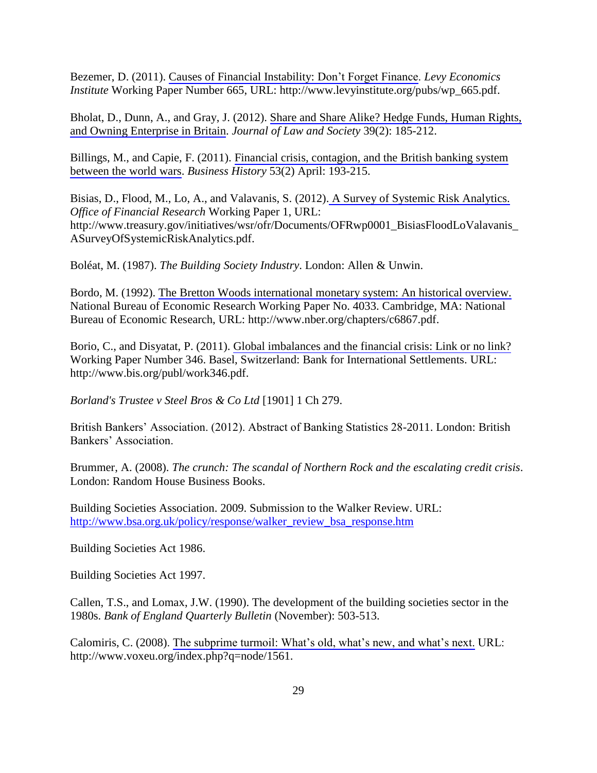Bezemer, D. (2011). [Causes of Financial Instability: Don't Forget Finance](http://www.levyinstitute.org/pubs/wp_665.pdf). *Levy Economics Institute* Working Paper Number 665, URL: http://www.levyinstitute.org/pubs/wp\_665.pdf.

Bholat, D., Dunn, A., and Gray, J. (2012). [Share and Share Alike? Hedge Funds, Human Rights,](http://onlinelibrary.wiley.com/doi/10.1111/j.1467-6478.2012.00578.x/abstract) [and Owning Enterprise in Britain.](http://onlinelibrary.wiley.com/doi/10.1111/j.1467-6478.2012.00578.x/abstract) *Journal of Law and Society* 39(2): 185-212.

Billings, M., and Capie, F. (2011). [Financial crisis, contagion, and the British banking system](http://www.tandfonline.com/doi/pdf/10.1080/00076791.2011.555105) [between the world wars](http://www.tandfonline.com/doi/pdf/10.1080/00076791.2011.555105). *Business History* 53(2) April: 193-215.

Bisias, D., Flood, M., Lo, A., and Valavanis, S. (2012). [A Survey of Systemic Risk Analytics.](http://www.treasury.gov/initiatives/wsr/ofr/Documents/OFRwp0001_BisiasFloodLoValavanis_) *Office of Financial Research* Working Paper 1, URL: http://www.treasury.gov/initiatives/wsr/ofr/Documents/OFRwp0001\_BisiasFloodLoValavanis\_ ASurveyOfSystemicRiskAnalytics.pdf.

Boléat, M. (1987). *The Building Society Industry*. London: Allen & Unwin.

Bordo, M. (1992). [The Bretton Woods international monetary system: An historical overview.](http://www.nber.org/chapters/c6867.pdf)  National Bureau of Economic Research Working Paper No. 4033. Cambridge, MA: National Bureau of Economic Research, URL: http://www.nber.org/chapters/c6867.pdf.

Borio, C., and Disyatat, P. (2011). [Global imbalances and the financial crisis: Link or no link?](http://www.bis.org/publ/work346.pdf) Working Paper Number 346. Basel, Switzerland: Bank for International Settlements. URL: http://www.bis.org/publ/work346.pdf.

*Borland's Trustee v Steel Bros & Co Ltd* [1901] 1 Ch 279.

British Bankers' Association. (2012). Abstract of Banking Statistics 28-2011. London: British Bankers' Association.

Brummer, A. (2008). *The crunch: The scandal of Northern Rock and the escalating credit crisis*. London: Random House Business Books.

Building Societies Association. 2009. Submission to the Walker Review. URL: [http://www.bsa.org.uk/policy/response/walker\\_review\\_bsa\\_response.htm](http://www.bsa.org.uk/policy/response/walker_review_bsa_response.htm)

Building Societies Act 1986.

Building Societies Act 1997.

Callen, T.S., and Lomax, J.W. (1990). The development of the building societies sector in the 1980s. *Bank of England Quarterly Bulletin* (November): 503-513.

Calomiris, C. (2008). [The subprime turmoil: What's old, what's new, and what's next.](http://www.voxeu.org/index.php?q=node/1561) URL: http://www.voxeu.org/index.php?q=node/1561.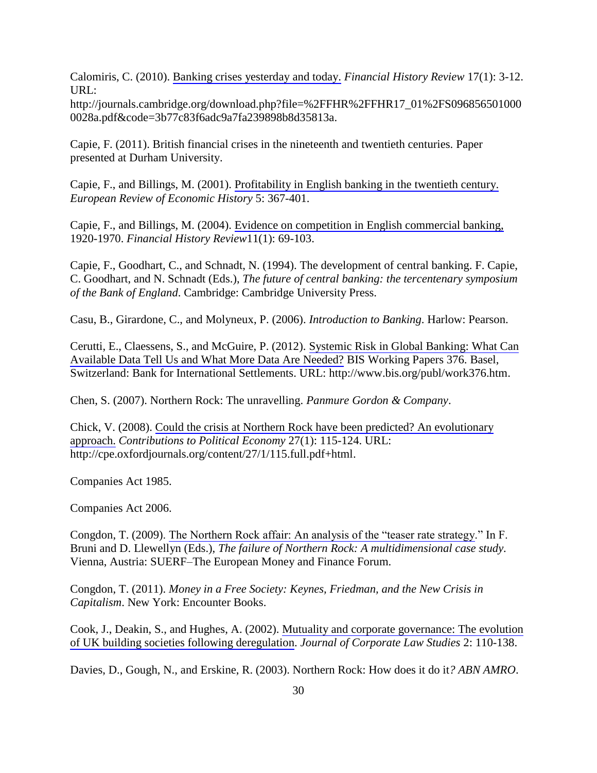Calomiris, C. (2010). [Banking crises yesterday and today.](http://journals.cambridge.org/download.php?file=%2FFHR%2FFHR17_01%2FS096856501000) *Financial History Review* 17(1): 3-12. URL:

http://journals.cambridge.org/download.php?file=%2FFHR%2FFHR17\_01%2FS096856501000 0028a.pdf&code=3b77c83f6adc9a7fa239898b8d35813a.

Capie, F. (2011). British financial crises in the nineteenth and twentieth centuries. Paper presented at Durham University.

Capie, F., and Billings, M. (2001). [Profitability in English banking in the twentieth century.](http://ereh.oxfordjournals.org/content/5/3/367)  *European Review of Economic History* 5: 367-401.

Capie, F., and Billings, M. (2004). [Evidence on competition in English commercial banking,](http://journals.cambridge.org/action/displayAbstract?fromPage=online&aid=227129)  1920-1970. *Financial History Review*11(1): 69-103.

Capie, F., Goodhart, C., and Schnadt, N. (1994). The development of central banking. F. Capie, C. Goodhart, and N. Schnadt (Eds.), *The future of central banking: the tercentenary symposium of the Bank of England*. Cambridge: Cambridge University Press.

Casu, B., Girardone, C., and Molyneux, P. (2006). *Introduction to Banking*. Harlow: Pearson.

Cerutti, E., Claessens, S., and McGuire, P. (2012). [Systemic Risk in Global Banking: What Can](http://www.bis.org/publ/work376.pdf) [Available Data Tell Us and What More Data Are Needed?](http://www.bis.org/publ/work376.pdf) BIS Working Papers 376. Basel, Switzerland: Bank for International Settlements. URL: http://www.bis.org/publ/work376.htm.

Chen, S. (2007). Northern Rock: The unravelling. *Panmure Gordon & Company*.

Chick, V. (2008). [Could the crisis at Northern Rock have been predicted? An evolutionary](http://cpe.oxfordjournals.org/content/27/1/115.full.pdf+html)  [approach.](http://cpe.oxfordjournals.org/content/27/1/115.full.pdf+html) *Contributions to Political Economy* 27(1): 115-124. URL: http://cpe.oxfordjournals.org/content/27/1/115.full.pdf+html.

Companies Act 1985.

Companies Act 2006.

Congdon, T. (2009). [The Northern Rock affair: An analysis of the "teaser rate strategy](http://ideas.repec.org/h/erf/erfssc/53-10.html)." In F. Bruni and D. Llewellyn (Eds.), *The failure of Northern Rock: A multidimensional case study.* Vienna, Austria: SUERF–The European Money and Finance Forum.

Congdon, T. (2011). *Money in a Free Society: Keynes, Friedman, and the New Crisis in Capitalism*. New York: Encounter Books.

Cook, J., Deakin, S., and Hughes, A. (2002). [Mutuality and corporate governance: The evolution](http://ideas.repec.org/p/cbr/cbrwps/wp205.html) [of UK building societies following deregulation](http://ideas.repec.org/p/cbr/cbrwps/wp205.html). *Journal of Corporate Law Studies* 2: 110-138.

Davies, D., Gough, N., and Erskine, R. (2003). Northern Rock: How does it do it*? ABN AMRO*.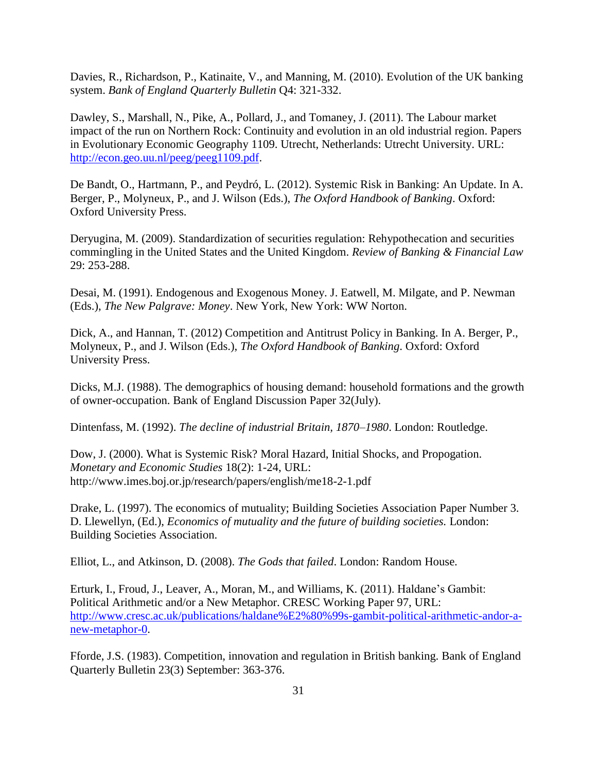Davies, R., Richardson, P., Katinaite, V., and Manning, M. (2010). Evolution of the UK banking system. *Bank of England Quarterly Bulletin* Q4: 321-332.

Dawley, S., Marshall, N., Pike, A., Pollard, J., and Tomaney, J. (2011). The Labour market impact of the run on Northern Rock: Continuity and evolution in an old industrial region. Papers in Evolutionary Economic Geography 1109. Utrecht, Netherlands: Utrecht University. URL: [http://econ.geo.uu.nl/peeg/peeg1109.pdf.](http://econ.geo.uu.nl/peeg/peeg1109.pdf)

De Bandt, O., Hartmann, P., and Peydró, L. (2012). Systemic Risk in Banking: An Update. In A. Berger, P., Molyneux, P., and J. Wilson (Eds.), *The Oxford Handbook of Banking*. Oxford: Oxford University Press.

Deryugina, M. (2009). Standardization of securities regulation: Rehypothecation and securities commingling in the United States and the United Kingdom. *Review of Banking & Financial Law* 29: 253-288.

Desai, M. (1991). Endogenous and Exogenous Money. J. Eatwell, M. Milgate, and P. Newman (Eds.), *The New Palgrave: Money*. New York, New York: WW Norton.

Dick, A., and Hannan, T. (2012) Competition and Antitrust Policy in Banking. In A. Berger, P., Molyneux, P., and J. Wilson (Eds.), *The Oxford Handbook of Banking*. Oxford: Oxford University Press.

Dicks, M.J. (1988). The demographics of housing demand: household formations and the growth of owner-occupation. Bank of England Discussion Paper 32(July).

Dintenfass, M. (1992). *The decline of industrial Britain, 1870–1980*. London: Routledge.

Dow, J. (2000). What is Systemic Risk? Moral Hazard, Initial Shocks, and Propogation. *Monetary and Economic Studies* 18(2): 1-24, URL: http://www.imes.boj.or.jp/research/papers/english/me18-2-1.pdf

Drake, L. (1997). The economics of mutuality; Building Societies Association Paper Number 3. D. Llewellyn, (Ed.), *Economics of mutuality and the future of building societies.* London: Building Societies Association.

Elliot, L., and Atkinson, D. (2008). *The Gods that failed*. London: Random House.

Erturk, I., Froud, J., Leaver, A., Moran, M., and Williams, K. (2011). Haldane's Gambit: Political Arithmetic and/or a New Metaphor. CRESC Working Paper 97, URL: [http://www.cresc.ac.uk/publications/haldane%E2%80%99s-gambit-political-arithmetic-andor-a](http://www.cresc.ac.uk/publications/haldane%E2%80%99s-gambit-political-arithmetic-andor-a-new-metaphor-0)[new-metaphor-0.](http://www.cresc.ac.uk/publications/haldane%E2%80%99s-gambit-political-arithmetic-andor-a-new-metaphor-0)

Fforde, J.S. (1983). Competition, innovation and regulation in British banking. Bank of England Quarterly Bulletin 23(3) September: 363-376.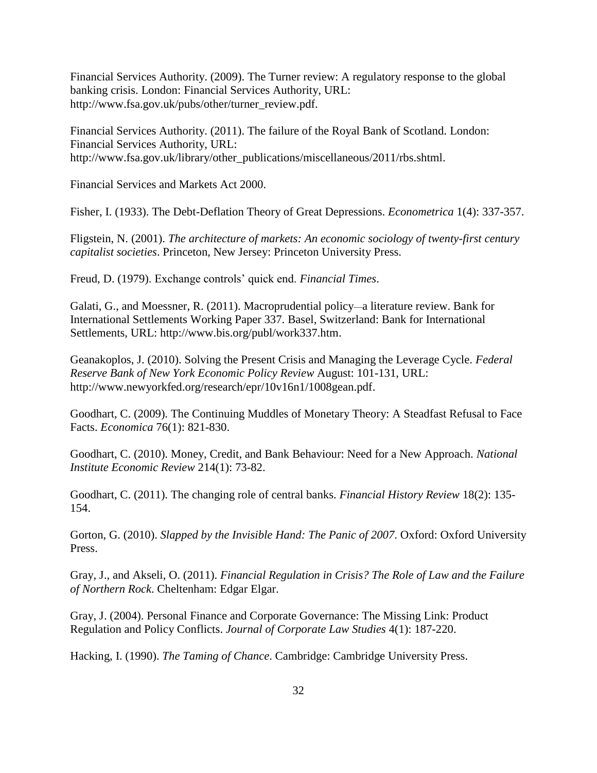Financial Services Authority. (2009). The Turner review: A regulatory response to the global banking crisis. London: Financial Services Authority, URL: http://www.fsa.gov.uk/pubs/other/turner\_review.pdf.

Financial Services Authority. (2011). The failure of the Royal Bank of Scotland. London: Financial Services Authority, URL: http://www.fsa.gov.uk/library/other\_publications/miscellaneous/2011/rbs.shtml.

Financial Services and Markets Act 2000.

Fisher, I. (1933). The Debt-Deflation Theory of Great Depressions. *Econometrica* 1(4): 337-357.

Fligstein, N. (2001). *The architecture of markets: An economic sociology of twenty-first century capitalist societies*. Princeton, New Jersey: Princeton University Press.

Freud, D. (1979). Exchange controls' quick end. *Financial Times*.

Galati, G., and Moessner, R. (2011). Macroprudential policy*—*a literature review. Bank for International Settlements Working Paper 337. Basel, Switzerland: Bank for International Settlements, URL: http://www.bis.org/publ/work337.htm.

Geanakoplos, J. (2010). Solving the Present Crisis and Managing the Leverage Cycle. *Federal Reserve Bank of New York Economic Policy Review* August: 101-131, URL: http://www.newyorkfed.org/research/epr/10v16n1/1008gean.pdf.

Goodhart, C. (2009). The Continuing Muddles of Monetary Theory: A Steadfast Refusal to Face Facts. *Economica* 76(1): 821-830.

Goodhart, C. (2010). Money, Credit, and Bank Behaviour: Need for a New Approach. *National Institute Economic Review* 214(1): 73-82.

Goodhart, C. (2011). The changing role of central banks. *Financial History Review* 18(2): 135- 154.

Gorton, G. (2010). *Slapped by the Invisible Hand: The Panic of 2007*. Oxford: Oxford University Press.

Gray, J., and Akseli, O. (2011). *Financial Regulation in Crisis? The Role of Law and the Failure of Northern Rock*. Cheltenham: Edgar Elgar.

Gray, J. (2004). Personal Finance and Corporate Governance: The Missing Link: Product Regulation and Policy Conflicts. *Journal of Corporate Law Studies* 4(1): 187-220.

Hacking, I. (1990). *The Taming of Chance*. Cambridge: Cambridge University Press.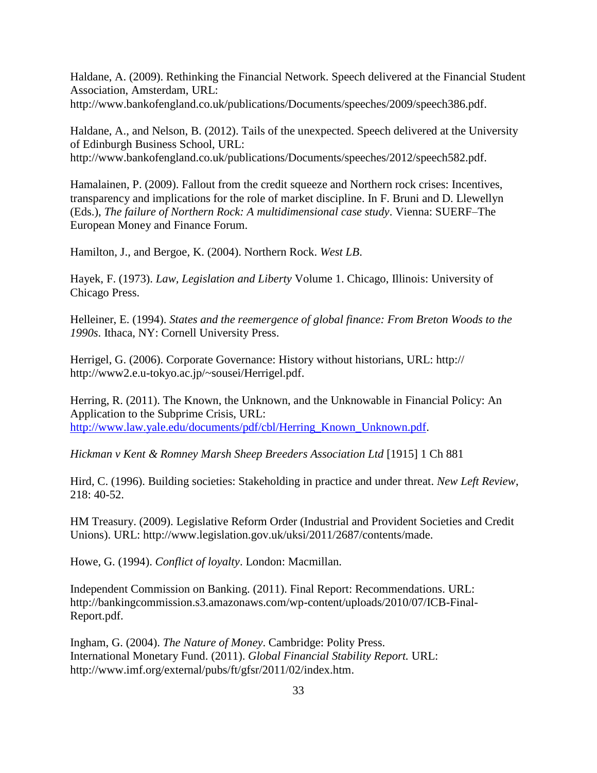Haldane, A. (2009). Rethinking the Financial Network. Speech delivered at the Financial Student Association, Amsterdam, URL: http://www.bankofengland.co.uk/publications/Documents/speeches/2009/speech386.pdf.

Haldane, A., and Nelson, B. (2012). Tails of the unexpected. Speech delivered at the University of Edinburgh Business School, URL: http://www.bankofengland.co.uk/publications/Documents/speeches/2012/speech582.pdf.

Hamalainen, P. (2009). Fallout from the credit squeeze and Northern rock crises: Incentives, transparency and implications for the role of market discipline. In F. Bruni and D. Llewellyn (Eds.), *The failure of Northern Rock: A multidimensional case study*. Vienna: SUERF–The European Money and Finance Forum.

Hamilton, J., and Bergoe, K. (2004). Northern Rock. *West LB*.

Hayek, F. (1973). *Law, Legislation and Liberty* Volume 1. Chicago, Illinois: University of Chicago Press.

Helleiner, E. (1994). *States and the reemergence of global finance: From Breton Woods to the 1990s*. Ithaca, NY: Cornell University Press.

Herrigel, G. (2006). Corporate Governance: History without historians, URL: http:// http://www2.e.u-tokyo.ac.jp/~sousei/Herrigel.pdf.

Herring, R. (2011). The Known, the Unknown, and the Unknowable in Financial Policy: An Application to the Subprime Crisis, URL: [http://www.law.yale.edu/documents/pdf/cbl/Herring\\_Known\\_Unknown.pdf.](http://www.law.yale.edu/documents/pdf/cbl/Herring_Known_Unknown.pdf)

*Hickman v Kent & Romney Marsh Sheep Breeders Association Ltd* [1915] 1 Ch 881

Hird, C. (1996). Building societies: Stakeholding in practice and under threat. *New Left Review*, 218: 40-52.

HM Treasury. (2009). Legislative Reform Order (Industrial and Provident Societies and Credit Unions). URL: http://www.legislation.gov.uk/uksi/2011/2687/contents/made.

Howe, G. (1994). *Conflict of loyalty*. London: Macmillan.

Independent Commission on Banking. (2011). Final Report: Recommendations. URL: http://bankingcommission.s3.amazonaws.com/wp-content/uploads/2010/07/ICB-Final-Report.pdf.

Ingham, G. (2004). *The Nature of Money*. Cambridge: Polity Press. International Monetary Fund. (2011). *Global Financial Stability Report.* URL: http://www.imf.org/external/pubs/ft/gfsr/2011/02/index.htm.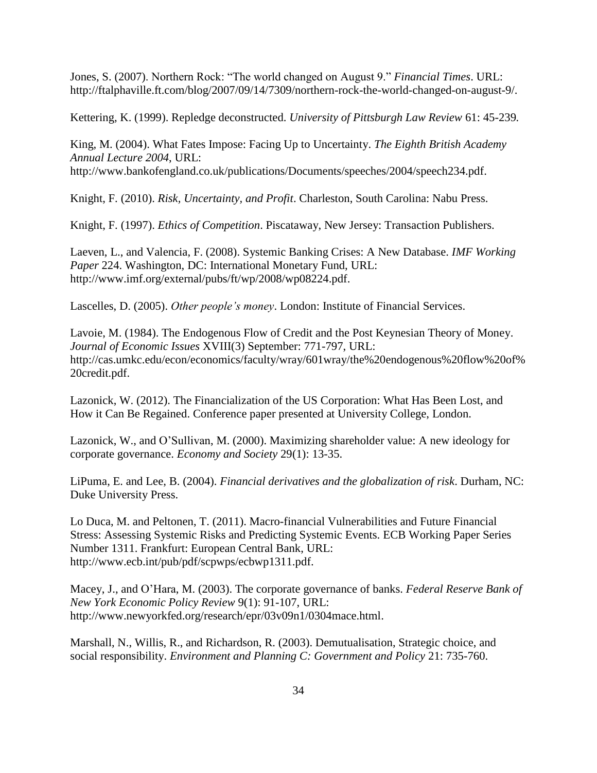Jones, S. (2007). Northern Rock: "The world changed on August 9." *Financial Times*. URL: http://ftalphaville.ft.com/blog/2007/09/14/7309/northern-rock-the-world-changed-on-august-9/.

Kettering, K. (1999). Repledge deconstructed. *University of Pittsburgh Law Review* 61: 45-239*.*

King, M. (2004). What Fates Impose: Facing Up to Uncertainty. *The Eighth British Academy Annual Lecture 2004*, URL:

http://www.bankofengland.co.uk/publications/Documents/speeches/2004/speech234.pdf.

Knight, F. (2010). *Risk, Uncertainty, and Profit*. Charleston, South Carolina: Nabu Press.

Knight, F. (1997). *Ethics of Competition*. Piscataway, New Jersey: Transaction Publishers.

Laeven, L., and Valencia, F. (2008). Systemic Banking Crises: A New Database. *IMF Working Paper* 224. Washington, DC: International Monetary Fund, URL: http://www.imf.org/external/pubs/ft/wp/2008/wp08224.pdf.

Lascelles, D. (2005). *Other people's money*. London: Institute of Financial Services.

Lavoie, M. (1984). The Endogenous Flow of Credit and the Post Keynesian Theory of Money. *Journal of Economic Issues* XVIII(3) September: 771-797, URL: http://cas.umkc.edu/econ/economics/faculty/wray/601wray/the%20endogenous%20flow%20of% 20credit.pdf.

Lazonick, W. (2012). The Financialization of the US Corporation: What Has Been Lost, and How it Can Be Regained. Conference paper presented at University College, London.

Lazonick, W., and O'Sullivan, M. (2000). Maximizing shareholder value: A new ideology for corporate governance. *Economy and Society* 29(1): 13-35.

LiPuma, E. and Lee, B. (2004). *Financial derivatives and the globalization of risk*. Durham, NC: Duke University Press.

Lo Duca, M. and Peltonen, T. (2011). Macro-financial Vulnerabilities and Future Financial Stress: Assessing Systemic Risks and Predicting Systemic Events. ECB Working Paper Series Number 1311. Frankfurt: European Central Bank, URL: http://www.ecb.int/pub/pdf/scpwps/ecbwp1311.pdf.

Macey, J., and O'Hara, M. (2003). The corporate governance of banks. *Federal Reserve Bank of New York Economic Policy Review* 9(1): 91-107, URL: http://www.newyorkfed.org/research/epr/03v09n1/0304mace.html.

Marshall, N., Willis, R., and Richardson, R. (2003). Demutualisation, Strategic choice, and social responsibility. *Environment and Planning C: Government and Policy* 21: 735-760.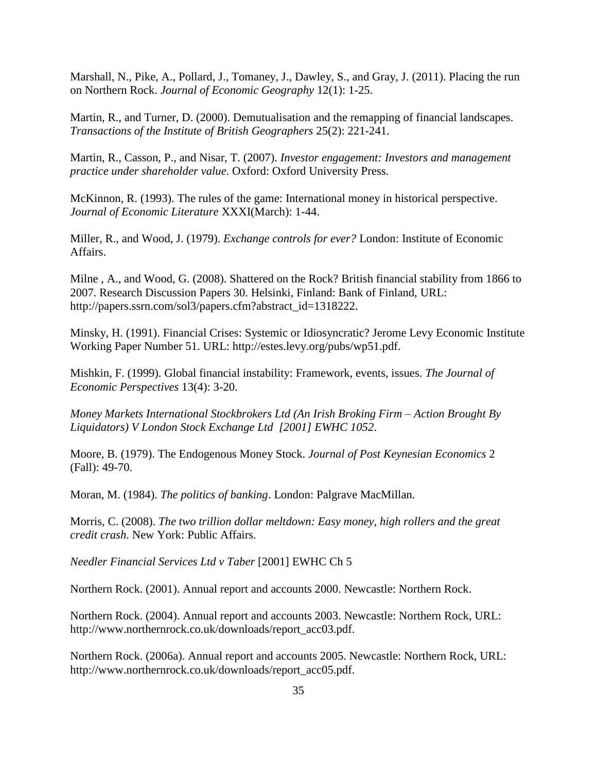Marshall, N., Pike, A., Pollard, J., Tomaney, J., Dawley, S., and Gray, J. (2011). Placing the run on Northern Rock. *Journal of Economic Geography* 12(1): 1-25.

Martin, R., and Turner, D. (2000). Demutualisation and the remapping of financial landscapes. *Transactions of the Institute of British Geographers* 25(2): 221-241.

Martin, R., Casson, P., and Nisar, T. (2007). *Investor engagement: Investors and management practice under shareholder value*. Oxford: Oxford University Press.

McKinnon, R. (1993). The rules of the game: International money in historical perspective. *Journal of Economic Literature* XXXI(March): 1-44.

Miller, R., and Wood, J. (1979). *Exchange controls for ever?* London: Institute of Economic Affairs.

Milne , A., and Wood, G. (2008). Shattered on the Rock? British financial stability from 1866 to 2007. Research Discussion Papers 30. Helsinki, Finland: Bank of Finland, URL: http://papers.ssrn.com/sol3/papers.cfm?abstract\_id=1318222.

Minsky, H. (1991). Financial Crises: Systemic or Idiosyncratic? Jerome Levy Economic Institute Working Paper Number 51. URL: http://estes.levy.org/pubs/wp51.pdf.

Mishkin, F. (1999). Global financial instability: Framework, events, issues. *The Journal of Economic Perspectives* 13(4): 3-20.

*Money Markets International Stockbrokers Ltd (An Irish Broking Firm – Action Brought By Liquidators) V London Stock Exchange Ltd [2001] EWHC 1052*.

Moore, B. (1979). The Endogenous Money Stock. *Journal of Post Keynesian Economics* 2 (Fall): 49-70.

Moran, M. (1984). *The politics of banking*. London: Palgrave MacMillan.

Morris, C. (2008). *The two trillion dollar meltdown: Easy money, high rollers and the great credit crash*. New York: Public Affairs.

*Needler Financial Services Ltd v Taber* [2001] EWHC Ch 5

Northern Rock. (2001). Annual report and accounts 2000. Newcastle: Northern Rock.

Northern Rock. (2004). Annual report and accounts 2003. Newcastle: Northern Rock, URL: http://www.northernrock.co.uk/downloads/report\_acc03.pdf.

Northern Rock. (2006a). Annual report and accounts 2005. Newcastle: Northern Rock, URL: http://www.northernrock.co.uk/downloads/report\_acc05.pdf.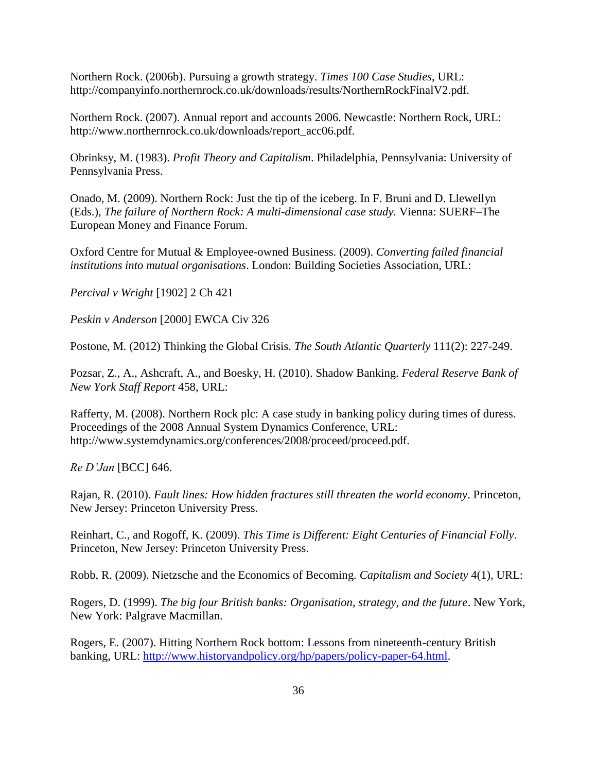Northern Rock. (2006b). Pursuing a growth strategy. *Times 100 Case Studies*, URL: http://companyinfo.northernrock.co.uk/downloads/results/NorthernRockFinalV2.pdf.

Northern Rock. (2007). Annual report and accounts 2006. Newcastle: Northern Rock, URL: http://www.northernrock.co.uk/downloads/report\_acc06.pdf.

Obrinksy, M. (1983). *Profit Theory and Capitalism*. Philadelphia, Pennsylvania: University of Pennsylvania Press.

Onado, M. (2009). Northern Rock: Just the tip of the iceberg. In F. Bruni and D. Llewellyn (Eds.), *The failure of Northern Rock: A multi-dimensional case study.* Vienna: SUERF–The European Money and Finance Forum.

Oxford Centre for Mutual & Employee-owned Business. (2009). *Converting failed financial institutions into mutual organisations*. London: Building Societies Association, URL:

*Percival v Wright* [1902] 2 Ch 421

*Peskin v Anderson* [2000] EWCA Civ 326

Postone, M. (2012) Thinking the Global Crisis. *The South Atlantic Quarterly* 111(2): 227-249.

Pozsar, Z., A., Ashcraft, A., and Boesky, H. (2010). Shadow Banking. *Federal Reserve Bank of New York Staff Report* 458, URL:

Rafferty, M. (2008). Northern Rock plc: A case study in banking policy during times of duress. Proceedings of the 2008 Annual System Dynamics Conference, URL: http://www.systemdynamics.org/conferences/2008/proceed/proceed.pdf.

*Re D'Jan* [BCC] 646.

Rajan, R. (2010). *Fault lines: How hidden fractures still threaten the world economy*. Princeton, New Jersey: Princeton University Press.

Reinhart, C., and Rogoff, K. (2009). *This Time is Different: Eight Centuries of Financial Folly*. Princeton, New Jersey: Princeton University Press.

Robb, R. (2009). Nietzsche and the Economics of Becoming. *Capitalism and Society* 4(1), URL:

Rogers, D. (1999). *The big four British banks: Organisation, strategy, and the future*. New York, New York: Palgrave Macmillan.

Rogers, E. (2007). Hitting Northern Rock bottom: Lessons from nineteenth-century British banking, URL: [http://www.historyandpolicy.org/hp/papers/policy-paper-64.html.](http://www.historyandpolicy.org/hp/papers/policy-paper-64.html)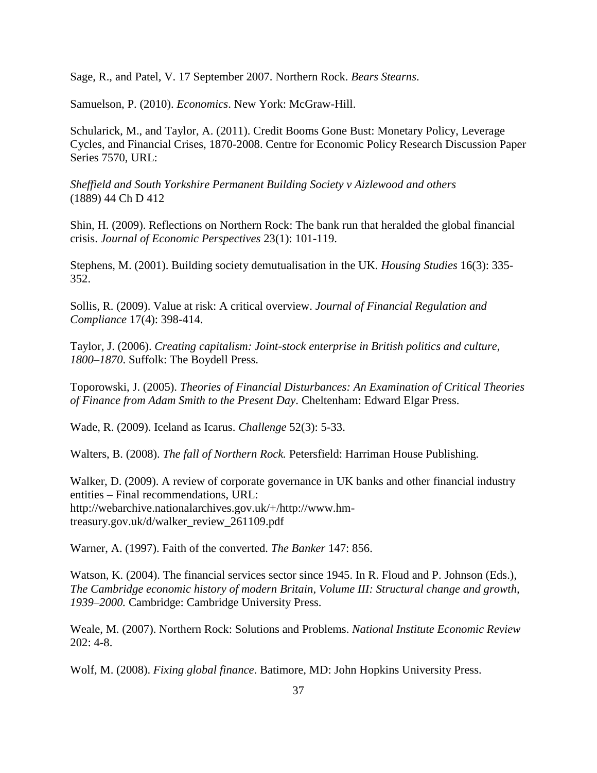Sage, R., and Patel, V. 17 September 2007. Northern Rock. *Bears Stearns*.

Samuelson, P. (2010). *Economics*. New York: McGraw-Hill.

Schularick, M., and Taylor, A. (2011). Credit Booms Gone Bust: Monetary Policy, Leverage Cycles, and Financial Crises, 1870-2008. Centre for Economic Policy Research Discussion Paper Series 7570, URL:

*Sheffield and South Yorkshire Permanent Building Society v Aizlewood and others* (1889) 44 Ch D 412

Shin, H. (2009). Reflections on Northern Rock: The bank run that heralded the global financial crisis. *Journal of Economic Perspectives* 23(1): 101-119.

Stephens, M. (2001). Building society demutualisation in the UK. *Housing Studies* 16(3): 335- 352.

Sollis, R. (2009). Value at risk: A critical overview. *Journal of Financial Regulation and Compliance* 17(4): 398-414.

Taylor, J. (2006). *Creating capitalism: Joint-stock enterprise in British politics and culture, 1800–1870*. Suffolk: The Boydell Press.

Toporowski, J. (2005). *Theories of Financial Disturbances: An Examination of Critical Theories of Finance from Adam Smith to the Present Day*. Cheltenham: Edward Elgar Press.

Wade, R. (2009). Iceland as Icarus. *Challenge* 52(3): 5-33.

Walters, B. (2008). *The fall of Northern Rock.* Petersfield: Harriman House Publishing.

Walker, D. (2009). A review of corporate governance in UK banks and other financial industry entities – Final recommendations, URL: http://webarchive.nationalarchives.gov.uk/+/http://www.hmtreasury.gov.uk/d/walker\_review\_261109.pdf

Warner, A. (1997). Faith of the converted. *The Banker* 147: 856.

Watson, K. (2004). The financial services sector since 1945. In R. Floud and P. Johnson (Eds.), *The Cambridge economic history of modern Britain, Volume III: Structural change and growth, 1939–2000.* Cambridge: Cambridge University Press.

Weale, M. (2007). Northern Rock: Solutions and Problems. *National Institute Economic Review*  $202: 4-8.$ 

Wolf, M. (2008). *Fixing global finance*. Batimore, MD: John Hopkins University Press.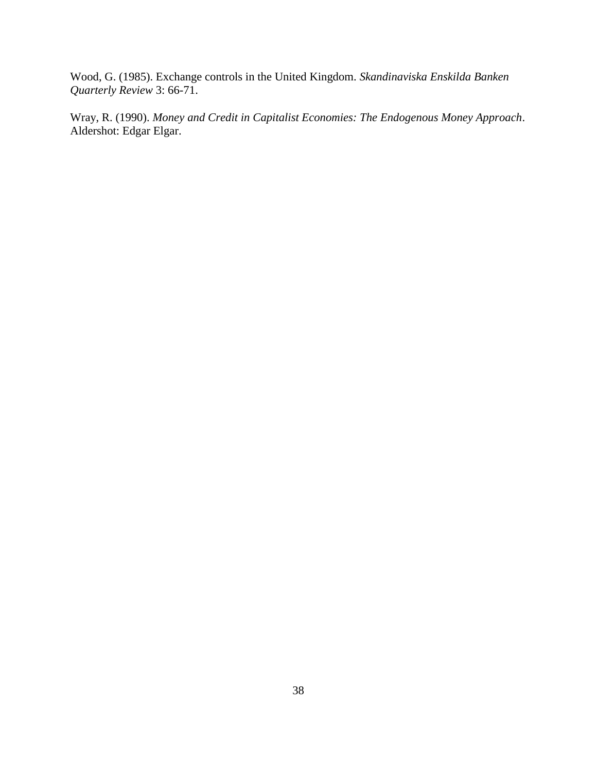Wood, G. (1985). Exchange controls in the United Kingdom. *Skandinaviska Enskilda Banken Quarterly Review* 3: 66-71.

Wray, R. (1990). *Money and Credit in Capitalist Economies: The Endogenous Money Approach*. Aldershot: Edgar Elgar.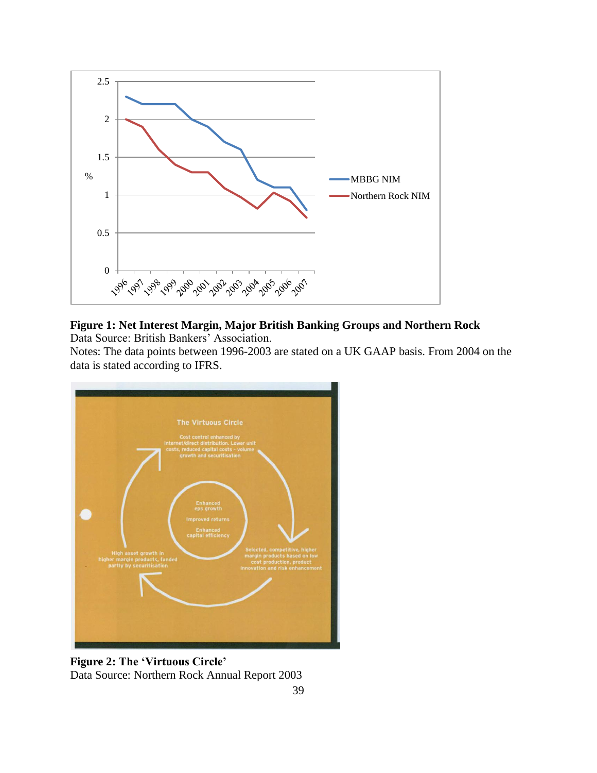

# **Figure 1: Net Interest Margin, Major British Banking Groups and Northern Rock**

Data Source: British Bankers' Association.

Notes: The data points between 1996-2003 are stated on a UK GAAP basis. From 2004 on the data is stated according to IFRS.



**Figure 2: The 'Virtuous Circle'** Data Source: Northern Rock Annual Report 2003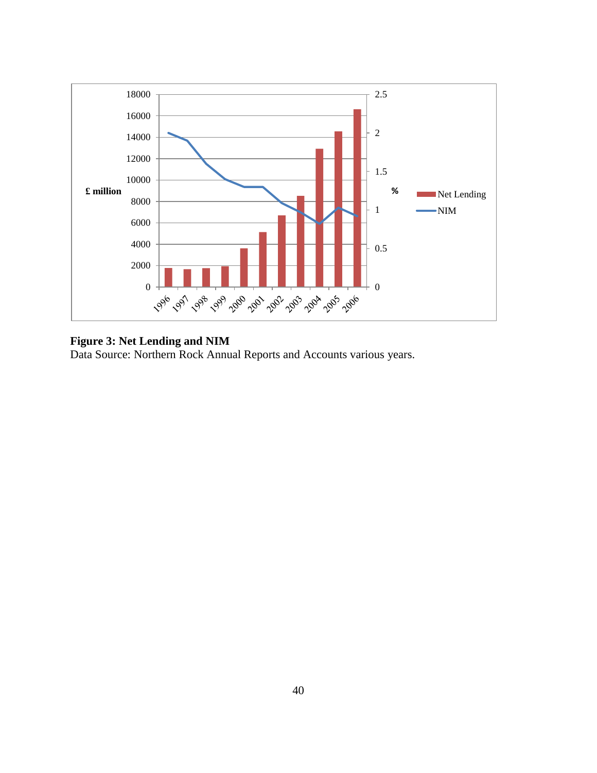

## **Figure 3: Net Lending and NIM**

Data Source: Northern Rock Annual Reports and Accounts various years.